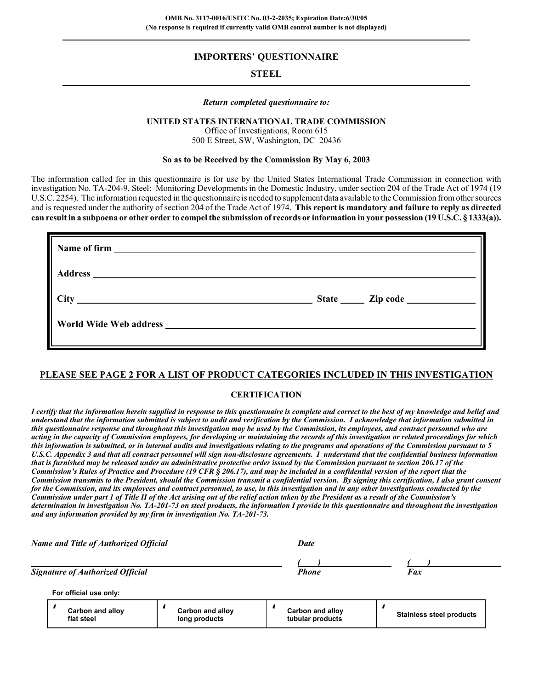## **IMPORTERS' QUESTIONNAIRE**

## **STEEL**

#### *Return completed questionnaire to:*

#### **UNITED STATES INTERNATIONAL TRADE COMMISSION**

Office of Investigations, Room 615 500 E Street, SW, Washington, DC 20436

#### **So as to be Received by the Commission By May 6, 2003**

The information called for in this questionnaire is for use by the United States International Trade Commission in connection with investigation No. TA-204-9, Steel: Monitoring Developments in the Domestic Industry, under section 204 of the Trade Act of 1974 (19 U.S.C. 2254). The information requested in the questionnaire is needed to supplement data available to the Commission from other sources and is requested under the authority of section 204 of the Trade Act of 1974. **This report is mandatory and failure to reply as directed can result in a subpoena or other order to compel the submission of records or information in your possession (19 U.S.C. § 1333(a)).**

#### **PLEASE SEE PAGE 2 FOR A LIST OF PRODUCT CATEGORIES INCLUDED IN THIS INVESTIGATION**

#### **CERTIFICATION**

*I certify that the information herein supplied in response to this questionnaire is complete and correct to the best of my knowledge and belief and understand that the information submitted is subject to audit and verification by the Commission. I acknowledge that information submitted in this questionnaire response and throughout this investigation may be used by the Commission, its employees, and contract personnel who are acting in the capacity of Commission employees, for developing or maintaining the records of this investigation or related proceedings for which this information is submitted, or in internal audits and investigations relating to the programs and operations of the Commission pursuant to 5 U.S.C. Appendix 3 and that all contract personnel will sign non-disclosure agreements. I understand that the confidential business information that is furnished may be released under an administrative protective order issued by the Commission pursuant to section 206.17 of the Commission's Rules of Practice and Procedure (19 CFR § 206.17), and may be included in a confidential version of the report that the Commission transmits to the President, should the Commission transmit a confidential version. By signing this certification, I also grant consent for the Commission, and its employees and contract personnel, to use, in this investigation and in any other investigations conducted by the Commission under part 1 of Title II of the Act arising out of the relief action taken by the President as a result of the Commission's determination in investigation No. TA-201-73 on steel products, the information I provide in this questionnaire and throughout the investigation and any information provided by my firm in investigation No. TA-201-73.*

| Name and Title of Authorized Official   |                                   | Date                                 |                                 |  |
|-----------------------------------------|-----------------------------------|--------------------------------------|---------------------------------|--|
| <b>Signature of Authorized Official</b> |                                   | <b>Phone</b>                         | Fax                             |  |
| For official use only:                  |                                   |                                      |                                 |  |
| Carbon and alloy<br>flat steel          | Carbon and alloy<br>long products | Carbon and alloy<br>tubular products | <b>Stainless steel products</b> |  |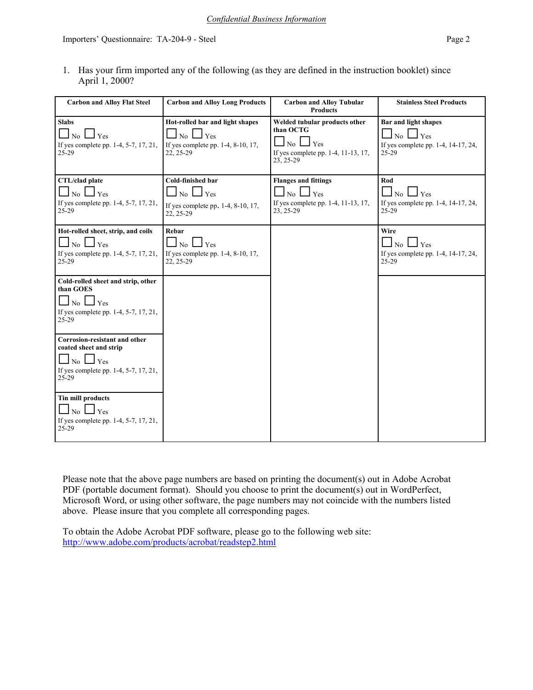1. Has your firm imported any of the following (as they are defined in the instruction booklet) since April 1, 2000?

| <b>Carbon and Alloy Flat Steel</b>                                                                                             | <b>Carbon and Alloy Long Products</b>                                                                       | <b>Carbon and Alloy Tubular</b><br><b>Products</b>                                                                        | <b>Stainless Steel Products</b>                                                          |
|--------------------------------------------------------------------------------------------------------------------------------|-------------------------------------------------------------------------------------------------------------|---------------------------------------------------------------------------------------------------------------------------|------------------------------------------------------------------------------------------|
| <b>Slabs</b><br>Yes<br>No<br>If yes complete pp. 1-4, 5-7, 17, 21,<br>$25-29$                                                  | Hot-rolled bar and light shapes<br>N <sub>o</sub><br>Yes<br>If yes complete pp. 1-4, 8-10, 17,<br>22, 25-29 | Welded tubular products other<br>than OCTG<br>Yes<br>$\overline{N_0}$<br>If yes complete pp. 1-4, 11-13, 17,<br>23, 25-29 | <b>Bar and light shapes</b><br>No<br>Yes<br>If yes complete pp. 1-4, 14-17, 24,<br>25-29 |
| CTL/clad plate<br>$No \Box Yes$<br>If yes complete pp. 1-4, 5-7, 17, 21,<br>$25-29$                                            | Cold-finished bar<br>$\Box$ No $\Box$ Yes<br>If yes complete pp. 1-4, 8-10, 17,<br>22, 25-29                | <b>Flanges and fittings</b><br>$\Box$ No $\Box$ Yes<br>If yes complete pp. 1-4, 11-13, 17,<br>23, 25-29                   | $\mathbf{Rod}$<br>$\Box$ No $\Box$ Yes<br>If yes complete pp. 1-4, 14-17, 24,<br>25-29   |
| Hot-rolled sheet, strip, and coils<br>$No \Box Yes$<br>If yes complete pp. 1-4, 5-7, 17, 21,<br>$25-29$                        | Rebar<br>$\perp$ Yes<br>$\Box$ No $\Box$<br>If yes complete pp. 1-4, 8-10, 17,<br>22, 25-29                 |                                                                                                                           | Wire<br>$\Box$ No $\Box$ Yes<br>If yes complete pp. 1-4, 14-17, 24,<br>$25 - 29$         |
| Cold-rolled sheet and strip, other<br>than GOES<br>l Yes<br>No I<br>If yes complete pp. 1-4, 5-7, 17, 21,<br>$25-29$           |                                                                                                             |                                                                                                                           |                                                                                          |
| Corrosion-resistant and other<br>coated sheet and strip<br>$No$ $\Box$ Yes<br>If yes complete pp. 1-4, 5-7, 17, 21,<br>$25-29$ |                                                                                                             |                                                                                                                           |                                                                                          |
| <b>Tin mill products</b><br>No $\Box$ Yes<br>If yes complete pp. 1-4, 5-7, 17, 21,<br>$25-29$                                  |                                                                                                             |                                                                                                                           |                                                                                          |

Please note that the above page numbers are based on printing the document(s) out in Adobe Acrobat PDF (portable document format). Should you choose to print the document(s) out in WordPerfect, Microsoft Word, or using other software, the page numbers may not coincide with the numbers listed above. Please insure that you complete all corresponding pages.

To obtain the Adobe Acrobat PDF software, please go to the following web site: http://www.adobe.com/products/acrobat/readstep2.html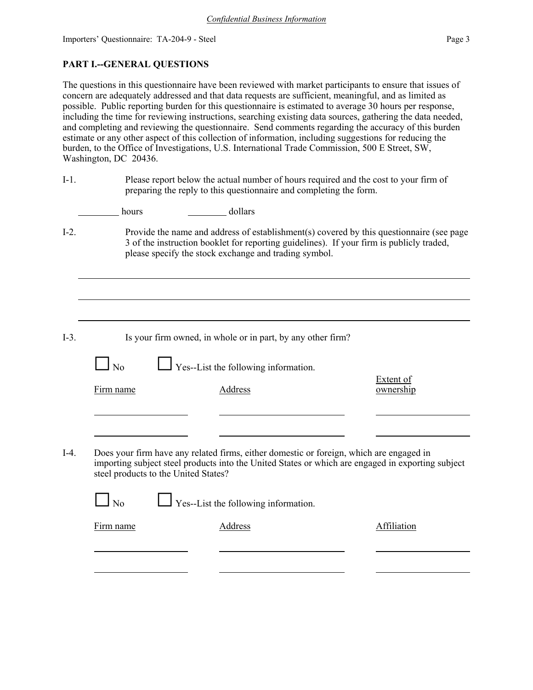## **PART I.--GENERAL QUESTIONS**

The questions in this questionnaire have been reviewed with market participants to ensure that issues of concern are adequately addressed and that data requests are sufficient, meaningful, and as limited as possible. Public reporting burden for this questionnaire is estimated to average 30 hours per response, including the time for reviewing instructions, searching existing data sources, gathering the data needed, and completing and reviewing the questionnaire. Send comments regarding the accuracy of this burden estimate or any other aspect of this collection of information, including suggestions for reducing the burden, to the Office of Investigations, U.S. International Trade Commission, 500 E Street, SW, Washington, DC 20436.

| $I-1.$  |                                      | Please report below the actual number of hours required and the cost to your firm of<br>preparing the reply to this questionnaire and completing the form.                                   |                                                                                          |
|---------|--------------------------------------|----------------------------------------------------------------------------------------------------------------------------------------------------------------------------------------------|------------------------------------------------------------------------------------------|
|         | hours                                | dollars                                                                                                                                                                                      |                                                                                          |
| $I-2$ . |                                      | 3 of the instruction booklet for reporting guidelines). If your firm is publicly traded,<br>please specify the stock exchange and trading symbol.                                            | Provide the name and address of establishment(s) covered by this questionnaire (see page |
|         |                                      |                                                                                                                                                                                              |                                                                                          |
|         |                                      |                                                                                                                                                                                              |                                                                                          |
| $I-3$ . |                                      | Is your firm owned, in whole or in part, by any other firm?                                                                                                                                  |                                                                                          |
|         | N <sub>0</sub>                       | $\Box$ Yes--List the following information.                                                                                                                                                  |                                                                                          |
|         | Firm name                            | <b>Address</b>                                                                                                                                                                               | <b>Extent of</b><br>ownership                                                            |
|         |                                      |                                                                                                                                                                                              |                                                                                          |
| $I-4.$  | steel products to the United States? | Does your firm have any related firms, either domestic or foreign, which are engaged in<br>importing subject steel products into the United States or which are engaged in exporting subject |                                                                                          |
|         | No                                   | Yes--List the following information.                                                                                                                                                         |                                                                                          |
|         | Firm name                            | <b>Address</b>                                                                                                                                                                               | Affiliation                                                                              |
|         |                                      |                                                                                                                                                                                              |                                                                                          |
|         |                                      |                                                                                                                                                                                              |                                                                                          |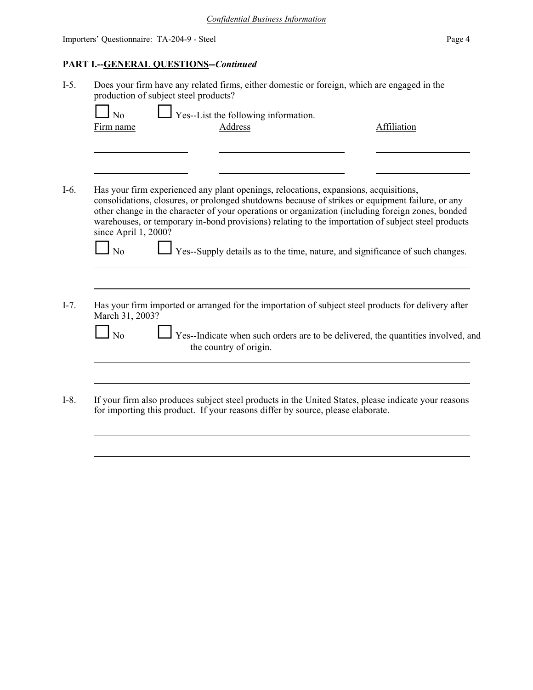# **PART I.--GENERAL QUESTIONS--***Continued*

| Affiliation<br>Has your firm experienced any plant openings, relocations, expansions, acquisitions,<br>consolidations, closures, or prolonged shutdowns because of strikes or equipment failure, or any<br>other change in the character of your operations or organization (including foreign zones, bonded<br>warehouses, or temporary in-bond provisions) relating to the importation of subject steel products |
|--------------------------------------------------------------------------------------------------------------------------------------------------------------------------------------------------------------------------------------------------------------------------------------------------------------------------------------------------------------------------------------------------------------------|
|                                                                                                                                                                                                                                                                                                                                                                                                                    |
|                                                                                                                                                                                                                                                                                                                                                                                                                    |
|                                                                                                                                                                                                                                                                                                                                                                                                                    |
|                                                                                                                                                                                                                                                                                                                                                                                                                    |
| Yes--Supply details as to the time, nature, and significance of such changes.                                                                                                                                                                                                                                                                                                                                      |
| Has your firm imported or arranged for the importation of subject steel products for delivery after                                                                                                                                                                                                                                                                                                                |
| Yes--Indicate when such orders are to be delivered, the quantities involved, and                                                                                                                                                                                                                                                                                                                                   |
|                                                                                                                                                                                                                                                                                                                                                                                                                    |
| If your firm also produces subject steel products in the United States, please indicate your reasons<br>for importing this product. If your reasons differ by source, please elaborate.                                                                                                                                                                                                                            |
|                                                                                                                                                                                                                                                                                                                                                                                                                    |
|                                                                                                                                                                                                                                                                                                                                                                                                                    |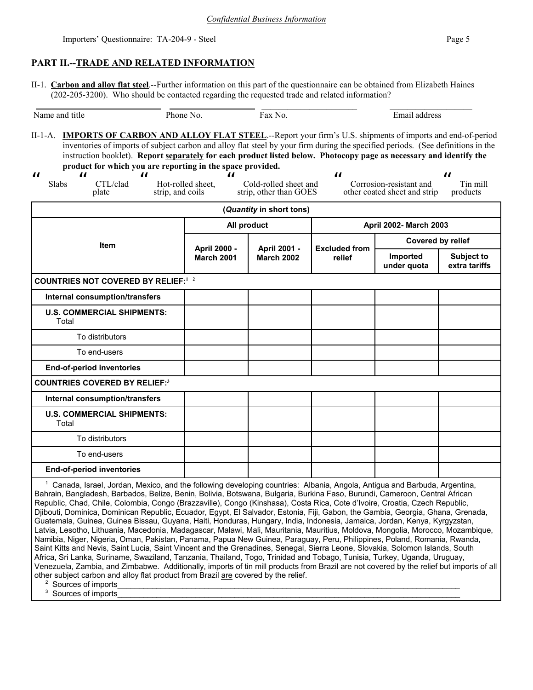## **PART II.--TRADE AND RELATED INFORMATION**

II-1. **Carbon and alloy flat steel**.--Further information on this part of the questionnaire can be obtained from Elizabeth Haines (202-205-3200). Who should be contacted regarding the requested trade and related information?

| ano<br>Nai<br>uut<br>1 I t<br>. | эı<br>.<br>Чt<br>''<br>. | NC. | raa<br>าว<br>. .<br>ят<br>. |
|---------------------------------|--------------------------|-----|-----------------------------|

II-1-A. **IMPORTS OF CARBON AND ALLOY FLAT STEEL**.--Report your firm's U.S. shipments of imports and end-of-period inventories of imports of subject carbon and alloy flat steel by your firm during the specified periods. (See definitions in the instruction booklet). **Report separately for each product listed below. Photocopy page as necessary and identify the product for which you are reporting in the space provided.**

| $\boldsymbol{\mathcal{H}}$<br>$\boldsymbol{\mathit{II}}$<br>$\boldsymbol{\mathit{II}}$<br>Slabs<br>CTL/clad<br>strip, and coils<br>plate | $\boldsymbol{\mathit{II}}$<br>Hot-rolled sheet,                        | Cold-rolled sheet and<br>strip, other than GOES | $\boldsymbol{\mathit{II}}$    | Corrosion-resistant and<br>other coated sheet and strip | $\boldsymbol{\mu}$<br>Tin mill<br>products |  |
|------------------------------------------------------------------------------------------------------------------------------------------|------------------------------------------------------------------------|-------------------------------------------------|-------------------------------|---------------------------------------------------------|--------------------------------------------|--|
|                                                                                                                                          |                                                                        | (Quantity in short tons)                        |                               |                                                         |                                            |  |
|                                                                                                                                          | All product                                                            |                                                 | <b>April 2002- March 2003</b> |                                                         |                                            |  |
| <b>Item</b>                                                                                                                              | April 2000 -<br>April 2001 -<br><b>March 2001</b><br><b>March 2002</b> |                                                 |                               |                                                         | Covered by relief                          |  |
|                                                                                                                                          |                                                                        | <b>Excluded from</b><br>relief                  | Imported<br>under quota       | <b>Subject to</b><br>extra tariffs                      |                                            |  |
| <b>COUNTRIES NOT COVERED BY RELIEF:</b> 1 2                                                                                              |                                                                        |                                                 |                               |                                                         |                                            |  |
| <b>Internal consumption/transfers</b>                                                                                                    |                                                                        |                                                 |                               |                                                         |                                            |  |
| <b>U.S. COMMERCIAL SHIPMENTS:</b><br>Total                                                                                               |                                                                        |                                                 |                               |                                                         |                                            |  |
| To distributors                                                                                                                          |                                                                        |                                                 |                               |                                                         |                                            |  |
| To end-users                                                                                                                             |                                                                        |                                                 |                               |                                                         |                                            |  |
| <b>End-of-period inventories</b>                                                                                                         |                                                                        |                                                 |                               |                                                         |                                            |  |
| <b>COUNTRIES COVERED BY RELIEF:3</b>                                                                                                     |                                                                        |                                                 |                               |                                                         |                                            |  |
| <b>Internal consumption/transfers</b>                                                                                                    |                                                                        |                                                 |                               |                                                         |                                            |  |
| <b>U.S. COMMERCIAL SHIPMENTS:</b><br>Total                                                                                               |                                                                        |                                                 |                               |                                                         |                                            |  |
| To distributors                                                                                                                          |                                                                        |                                                 |                               |                                                         |                                            |  |
| To end-users                                                                                                                             |                                                                        |                                                 |                               |                                                         |                                            |  |
| <b>End-of-period inventories</b>                                                                                                         |                                                                        |                                                 |                               |                                                         |                                            |  |
| $^1$ Canada, Ieral, Jordan, Mexico, and the following developing countries: Albania, Angola, Antigua and Rarbuda, Argentina, $^1$        |                                                                        |                                                 |                               |                                                         |                                            |  |

 $\overline{\phantom{a}}$  Canada, Israel, Jordan, Mexico, and the following developing countries: Albania, Angola, Antigua and Barbuda, Argentina, Bahrain, Bangladesh, Barbados, Belize, Benin, Bolivia, Botswana, Bulgaria, Burkina Faso, Burundi, Cameroon, Central African Republic, Chad, Chile, Colombia, Congo (Brazzaville), Congo (Kinshasa), Costa Rica, Cote d'Ivoire, Croatia, Czech Republic, Djibouti, Dominica, Dominican Republic, Ecuador, Egypt, El Salvador, Estonia, Fiji, Gabon, the Gambia, Georgia, Ghana, Grenada, Guatemala, Guinea, Guinea Bissau, Guyana, Haiti, Honduras, Hungary, India, Indonesia, Jamaica, Jordan, Kenya, Kyrgyzstan, Latvia, Lesotho, Lithuania, Macedonia, Madagascar, Malawi, Mali, Mauritania, Mauritius, Moldova, Mongolia, Morocco, Mozambique, Namibia, Niger, Nigeria, Oman, Pakistan, Panama, Papua New Guinea, Paraguay, Peru, Philippines, Poland, Romania, Rwanda, Saint Kitts and Nevis, Saint Lucia, Saint Vincent and the Grenadines, Senegal, Sierra Leone, Slovakia, Solomon Islands, South Africa, Sri Lanka, Suriname, Swaziland, Tanzania, Thailand, Togo, Trinidad and Tobago, Tunisia, Turkey, Uganda, Uruguay, Venezuela, Zambia, and Zimbabwe. Additionally, imports of tin mill products from Brazil are not covered by the relief but imports of all other subiect carbon and alloy flat product from Brazil are covered by the relief.

 2 Sources of imports 3

Sources of imports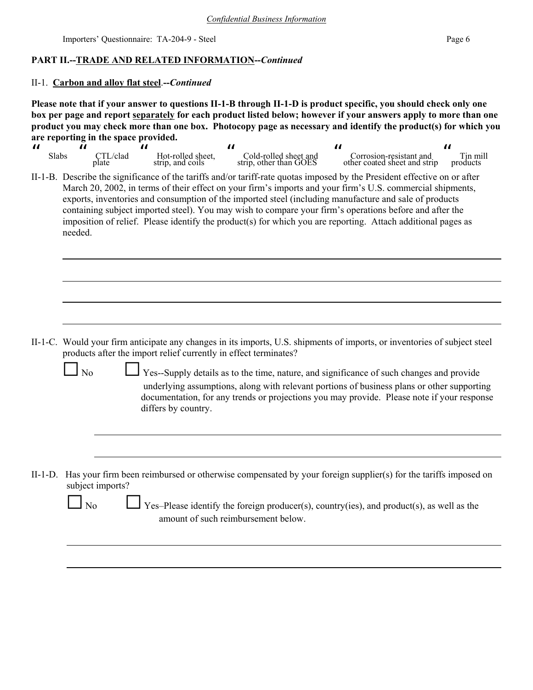## **PART II.--TRADE AND RELATED INFORMATION--***Continued*

#### II-1. **Carbon and alloy flat steel**.**--***Continued*

**Please note that if your answer to questions II-1-B through II-1-D is product specific, you should check only one box per page and report separately for each product listed below; however if your answers apply to more than one product you may check more than one box. Photocopy page as necessary and identify the product(s) for which you are reporting in the space provided.**

| Slabs | $\mathrm{TL}/\mathrm{clad}$<br>plate | Hot-rolled sheet.<br>strip, and coils | Cold-rolled sheet and<br>strip, other than GOES | Corrosion-resistant and<br>other coated sheet and strip | Tin mill<br>products |
|-------|--------------------------------------|---------------------------------------|-------------------------------------------------|---------------------------------------------------------|----------------------|

II-1-B. Describe the significance of the tariffs and/or tariff-rate quotas imposed by the President effective on or after March 20, 2002, in terms of their effect on your firm's imports and your firm's U.S. commercial shipments, exports, inventories and consumption of the imported steel (including manufacture and sale of products containing subject imported steel). You may wish to compare your firm's operations before and after the imposition of relief. Please identify the product(s) for which you are reporting. Attach additional pages as needed.

II-1-C. Would your firm anticipate any changes in its imports, U.S. shipments of imports, or inventories of subject steel products after the import relief currently in effect terminates?

No G Yes--Supply details as to the time, nature, and significance of such changes and provide underlying assumptions, along with relevant portions of business plans or other supporting documentation, for any trends or projections you may provide. Please note if your response differs by country.

II-1-D. Has your firm been reimbursed or otherwise compensated by your foreign supplier(s) for the tariffs imposed on subject imports?

Yes–Please identify the foreign producer(s), country(ies), and product(s), as well as the amount of such reimbursement below.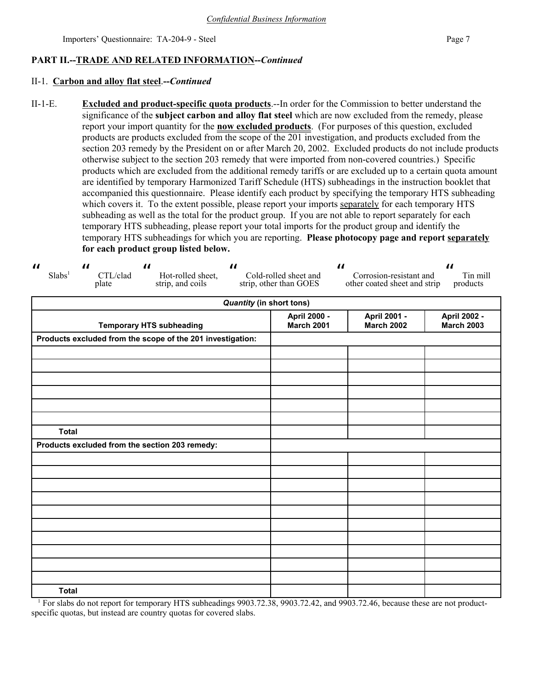## **PART II.--TRADE AND RELATED INFORMATION--***Continued*

## II-1. **Carbon and alloy flat steel**.**--***Continued*

II-1-E. **Excluded and product-specific quota products**.--In order for the Commission to better understand the significance of the **subject carbon and alloy flat steel** which are now excluded from the remedy, please report your import quantity for the **now excluded products**. (For purposes of this question, excluded products are products excluded from the scope of the 201 investigation, and products excluded from the section 203 remedy by the President on or after March 20, 2002. Excluded products do not include products otherwise subject to the section 203 remedy that were imported from non-covered countries.) Specific products which are excluded from the additional remedy tariffs or are excluded up to a certain quota amount are identified by temporary Harmonized Tariff Schedule (HTS) subheadings in the instruction booklet that accompanied this questionnaire. Please identify each product by specifying the temporary HTS subheading which covers it. To the extent possible, please report your imports separately for each temporary HTS subheading as well as the total for the product group. If you are not able to report separately for each temporary HTS subheading, please report your total imports for the product group and identify the temporary HTS subheadings for which you are reporting. **Please photocopy page and report separately for each product group listed below.**

| $\boldsymbol{\mathit{II}}$<br>Slabs <sup>1</sup> | $\boldsymbol{\mu}$<br>CTL/clad<br>plate | $\boldsymbol{\mathcal{H}}$<br>Hot-rolled sheet,<br>strip, and coils | $\boldsymbol{\mathcal{H}}$      | $\boldsymbol{\mu}$<br>Cold-rolled sheet and<br>strip, other than GOES | Corrosion-resistant and<br>other coated sheet and strip | $\boldsymbol{\mathit{II}}$<br>Tin mill<br>products |
|--------------------------------------------------|-----------------------------------------|---------------------------------------------------------------------|---------------------------------|-----------------------------------------------------------------------|---------------------------------------------------------|----------------------------------------------------|
|                                                  |                                         |                                                                     | <b>Quantity (in short tons)</b> |                                                                       |                                                         |                                                    |
|                                                  |                                         | <b>Temporary HTS subheading</b>                                     |                                 | April 2000 -<br><b>March 2001</b>                                     | April 2001 -<br><b>March 2002</b>                       | April 2002 -<br><b>March 2003</b>                  |
|                                                  |                                         | Products excluded from the scope of the 201 investigation:          |                                 |                                                                       |                                                         |                                                    |
|                                                  |                                         |                                                                     |                                 |                                                                       |                                                         |                                                    |
|                                                  |                                         |                                                                     |                                 |                                                                       |                                                         |                                                    |
|                                                  |                                         |                                                                     |                                 |                                                                       |                                                         |                                                    |
|                                                  |                                         |                                                                     |                                 |                                                                       |                                                         |                                                    |
|                                                  |                                         |                                                                     |                                 |                                                                       |                                                         |                                                    |
|                                                  |                                         |                                                                     |                                 |                                                                       |                                                         |                                                    |
| <b>Total</b>                                     |                                         |                                                                     |                                 |                                                                       |                                                         |                                                    |
|                                                  |                                         | Products excluded from the section 203 remedy:                      |                                 |                                                                       |                                                         |                                                    |
|                                                  |                                         |                                                                     |                                 |                                                                       |                                                         |                                                    |
|                                                  |                                         |                                                                     |                                 |                                                                       |                                                         |                                                    |
|                                                  |                                         |                                                                     |                                 |                                                                       |                                                         |                                                    |
|                                                  |                                         |                                                                     |                                 |                                                                       |                                                         |                                                    |
|                                                  |                                         |                                                                     |                                 |                                                                       |                                                         |                                                    |
|                                                  |                                         |                                                                     |                                 |                                                                       |                                                         |                                                    |
|                                                  |                                         |                                                                     |                                 |                                                                       |                                                         |                                                    |
|                                                  |                                         |                                                                     |                                 |                                                                       |                                                         |                                                    |
|                                                  |                                         |                                                                     |                                 |                                                                       |                                                         |                                                    |
|                                                  |                                         |                                                                     |                                 |                                                                       |                                                         |                                                    |
| <b>Total</b>                                     |                                         |                                                                     |                                 |                                                                       |                                                         |                                                    |

<sup>1</sup> For slabs do not report for temporary HTS subheadings 9903.72.38, 9903.72.42, and 9903.72.46, because these are not productspecific quotas, but instead are country quotas for covered slabs.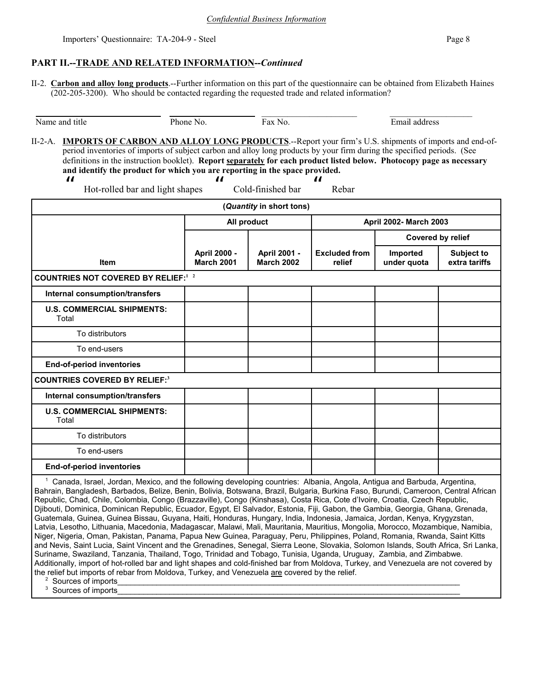## **PART II.--TRADE AND RELATED INFORMATION--***Continued*

II-2. **Carbon and alloy long products**.--Further information on this part of the questionnaire can be obtained from Elizabeth Haines (202-205-3200). Who should be contacted regarding the requested trade and related information?

| period inventories of imports of subject carbon and alloy long products by your firm during the specified periods. (See<br>definitions in the instruction booklet). Report separately for each product listed below. Photocopy page as necessary |                                   |                                   |                                |                         |                                    |
|--------------------------------------------------------------------------------------------------------------------------------------------------------------------------------------------------------------------------------------------------|-----------------------------------|-----------------------------------|--------------------------------|-------------------------|------------------------------------|
| and identify the product for which you are reporting in the space provided.<br>$\boldsymbol{\mu}$<br>Hot-rolled bar and light shapes                                                                                                             | $\boldsymbol{\mu}$                | Cold-finished bar                 | П<br>Rebar                     |                         |                                    |
|                                                                                                                                                                                                                                                  |                                   | (Quantity in short tons)          |                                |                         |                                    |
|                                                                                                                                                                                                                                                  | All product                       |                                   |                                | April 2002- March 2003  |                                    |
|                                                                                                                                                                                                                                                  |                                   |                                   |                                | Covered by relief       |                                    |
| <b>Item</b>                                                                                                                                                                                                                                      | April 2000 -<br><b>March 2001</b> | April 2001 -<br><b>March 2002</b> | <b>Excluded from</b><br>relief | Imported<br>under quota | <b>Subject to</b><br>extra tariffs |
| <b>COUNTRIES NOT COVERED BY RELIEF:</b> 1 2                                                                                                                                                                                                      |                                   |                                   |                                |                         |                                    |
| Internal consumption/transfers                                                                                                                                                                                                                   |                                   |                                   |                                |                         |                                    |
| <b>U.S. COMMERCIAL SHIPMENTS:</b><br>Total                                                                                                                                                                                                       |                                   |                                   |                                |                         |                                    |
| To distributors                                                                                                                                                                                                                                  |                                   |                                   |                                |                         |                                    |
| To end-users                                                                                                                                                                                                                                     |                                   |                                   |                                |                         |                                    |
| <b>End-of-period inventories</b>                                                                                                                                                                                                                 |                                   |                                   |                                |                         |                                    |
| <b>COUNTRIES COVERED BY RELIEF:3</b>                                                                                                                                                                                                             |                                   |                                   |                                |                         |                                    |
| Internal consumption/transfers                                                                                                                                                                                                                   |                                   |                                   |                                |                         |                                    |
| <b>U.S. COMMERCIAL SHIPMENTS:</b><br>Total                                                                                                                                                                                                       |                                   |                                   |                                |                         |                                    |
| To distributors                                                                                                                                                                                                                                  |                                   |                                   |                                |                         |                                    |
| To end-users                                                                                                                                                                                                                                     |                                   |                                   |                                |                         |                                    |
| <b>End-of-period inventories</b>                                                                                                                                                                                                                 |                                   |                                   |                                |                         |                                    |
| Canada, Israel, Jordan, Mexico, and the following developing countries: Albania, Angola, Antigua and Barbuda, Argentina,                                                                                                                         |                                   |                                   |                                |                         |                                    |

Bahrain, Bangladesh, Barbados, Belize, Benin, Bolivia, Botswana, Brazil, Bulgaria, Burkina Faso, Burundi, Cameroon, Central African Republic, Chad, Chile, Colombia, Congo (Brazzaville), Congo (Kinshasa), Costa Rica, Cote d'Ivoire, Croatia, Czech Republic, Djibouti, Dominica, Dominican Republic, Ecuador, Egypt, El Salvador, Estonia, Fiji, Gabon, the Gambia, Georgia, Ghana, Grenada, Guatemala, Guinea, Guinea Bissau, Guyana, Haiti, Honduras, Hungary, India, Indonesia, Jamaica, Jordan, Kenya, Krygyzstan, Latvia, Lesotho, Lithuania, Macedonia, Madagascar, Malawi, Mali, Mauritania, Mauritius, Mongolia, Morocco, Mozambique, Namibia, Niger, Nigeria, Oman, Pakistan, Panama, Papua New Guinea, Paraguay, Peru, Philippines, Poland, Romania, Rwanda, Saint Kitts and Nevis, Saint Lucia, Saint Vincent and the Grenadines, Senegal, Sierra Leone, Slovakia, Solomon Islands, South Africa, Sri Lanka, Suriname, Swaziland, Tanzania, Thailand, Togo, Trinidad and Tobago, Tunisia, Uganda, Uruguay, Zambia, and Zimbabwe. Additionally, import of hot-rolled bar and light shapes and cold-finished bar from Moldova, Turkey, and Venezuela are not covered by the relief but imports of rebar from Moldova, Turkey, and Venezuela are covered by the relief.

2 Sources of imports\_\_\_\_\_\_\_\_\_\_\_\_\_\_\_\_\_\_\_\_\_\_\_\_\_\_\_\_\_\_\_\_\_\_\_\_\_\_\_\_\_\_\_\_\_\_\_\_\_\_\_\_\_\_\_\_\_\_\_\_\_\_\_\_\_\_\_\_\_\_\_\_\_\_\_\_\_\_\_

3 Sources of imports\_\_\_\_\_\_\_\_\_\_\_\_\_\_\_\_\_\_\_\_\_\_\_\_\_\_\_\_\_\_\_\_\_\_\_\_\_\_\_\_\_\_\_\_\_\_\_\_\_\_\_\_\_\_\_\_\_\_\_\_\_\_\_\_\_\_\_\_\_\_\_\_\_\_\_\_\_\_\_

II-2-A. **IMPORTS OF CARBON AND ALLOY LONG PRODUCTS**.--Report your firm's U.S. shipments of imports and end-of-

Name and title **Phone No.** Fax No. Fax Ho. Email address

\_\_\_\_\_\_\_\_\_\_\_\_\_\_\_\_\_\_\_\_\_\_ \_\_\_\_\_\_\_\_\_\_\_\_\_\_\_\_\_\_\_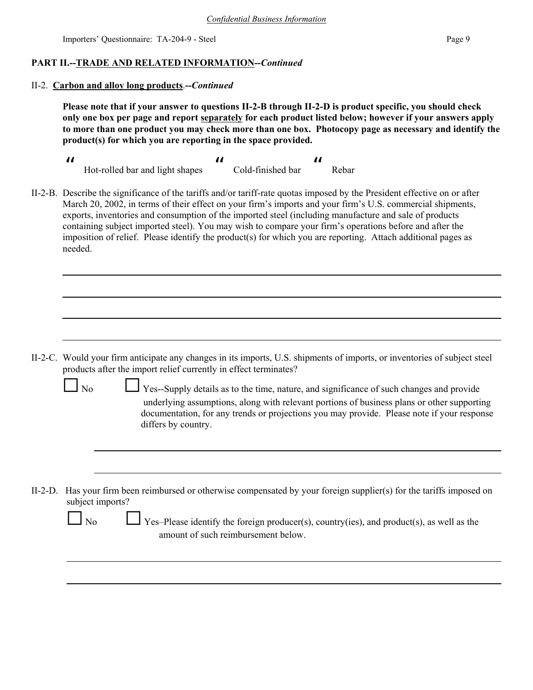## **PART II.--TRADE AND RELATED INFORMATION--***Continued*

## II-2. **Carbon and alloy long products**.**--***Continued*

**Please note that if your answer to questions II-2-B through II-2-D is product specific, you should check only one box per page and report separately for each product listed below; however if your answers apply to more than one product you may check more than one box. Photocopy page as necessary and identify the product(s) for which you are reporting in the space provided.**

- 11<br>11 март 12 март 12 март 12 март 12 март 12 март 12 март 12 март 12 март 12 март 12 март 12 март 12 март 12<br>11 март 12 март 12 март 12 март 12 март 12 март 12 март 12 март 12 март 12 март 12 март 12 март 12 март 12 ма Hot-rolled bar and light shapes  $\boldsymbol{\mu}$  Cold-finished bar  $\boldsymbol{\mu}$ Rebar
- II-2-B. Describe the significance of the tariffs and/or tariff-rate quotas imposed by the President effective on or after March 20, 2002, in terms of their effect on your firm's imports and your firm's U.S. commercial shipments, exports, inventories and consumption of the imported steel (including manufacture and sale of products containing subject imported steel). You may wish to compare your firm's operations before and after the imposition of relief. Please identify the product(s) for which you are reporting. Attach additional pages as needed.

- II-2-C. Would your firm anticipate any changes in its imports, U.S. shipments of imports, or inventories of subject steel products after the import relief currently in effect terminates?
	-

No Ses--Supply details as to the time, nature, and significance of such changes and provide underlying assumptions, along with relevant portions of business plans or other supporting documentation, for any trends or projections you may provide. Please note if your response differs by country.

II-2-D. Has your firm been reimbursed or otherwise compensated by your foreign supplier(s) for the tariffs imposed on subject imports?

|--|

Yes–Please identify the foreign producer(s), country(ies), and product(s), as well as the amount of such reimbursement below.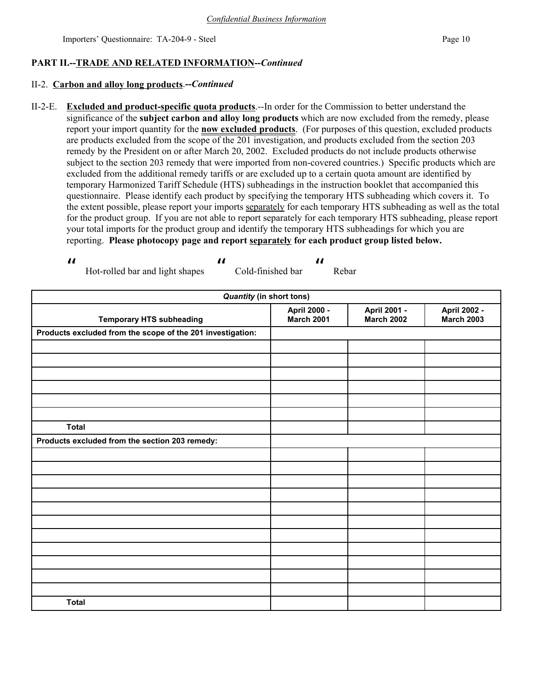## **PART II.--TRADE AND RELATED INFORMATION--***Continued*

## II-2. **Carbon and alloy long products**.**--***Continued*

II-2-E. **Excluded and product-specific quota products**.--In order for the Commission to better understand the significance of the **subject carbon and alloy long products** which are now excluded from the remedy, please report your import quantity for the **now excluded products**. (For purposes of this question, excluded products are products excluded from the scope of the 201 investigation, and products excluded from the section 203 remedy by the President on or after March 20, 2002. Excluded products do not include products otherwise subject to the section 203 remedy that were imported from non-covered countries.) Specific products which are excluded from the additional remedy tariffs or are excluded up to a certain quota amount are identified by temporary Harmonized Tariff Schedule (HTS) subheadings in the instruction booklet that accompanied this questionnaire. Please identify each product by specifying the temporary HTS subheading which covers it. To the extent possible, please report your imports separately for each temporary HTS subheading as well as the total for the product group. If you are not able to report separately for each temporary HTS subheading, please report your total imports for the product group and identify the temporary HTS subheadings for which you are reporting. **Please photocopy page and report separately for each product group listed below.**

 $\boldsymbol{\mu}$  Hot-rolled bar and light shapes  $\boldsymbol{\mu}$  Cold-finished bar  $\boldsymbol{\mu}$ Rebar

| <b>Quantity (in short tons)</b>                            |                                   |                                   |                                   |
|------------------------------------------------------------|-----------------------------------|-----------------------------------|-----------------------------------|
| <b>Temporary HTS subheading</b>                            | April 2000 -<br><b>March 2001</b> | April 2001 -<br><b>March 2002</b> | April 2002 -<br><b>March 2003</b> |
| Products excluded from the scope of the 201 investigation: |                                   |                                   |                                   |
|                                                            |                                   |                                   |                                   |
|                                                            |                                   |                                   |                                   |
|                                                            |                                   |                                   |                                   |
|                                                            |                                   |                                   |                                   |
|                                                            |                                   |                                   |                                   |
|                                                            |                                   |                                   |                                   |
| <b>Total</b>                                               |                                   |                                   |                                   |
| Products excluded from the section 203 remedy:             |                                   |                                   |                                   |
|                                                            |                                   |                                   |                                   |
|                                                            |                                   |                                   |                                   |
|                                                            |                                   |                                   |                                   |
|                                                            |                                   |                                   |                                   |
|                                                            |                                   |                                   |                                   |
|                                                            |                                   |                                   |                                   |
|                                                            |                                   |                                   |                                   |
|                                                            |                                   |                                   |                                   |
|                                                            |                                   |                                   |                                   |
|                                                            |                                   |                                   |                                   |
|                                                            |                                   |                                   |                                   |
| <b>Total</b>                                               |                                   |                                   |                                   |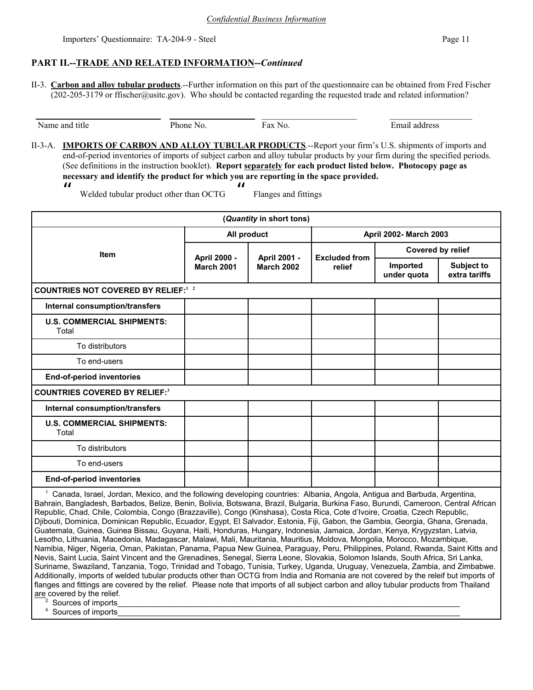## **PART II.--TRADE AND RELATED INFORMATION--***Continued*

II-3. **Carbon and alloy tubular products**.--Further information on this part of the questionnaire can be obtained from Fred Fischer  $(202-205-3179)$  or ffischer@usitc.gov). Who should be contacted regarding the requested trade and related information?

Name and title Phone No. Fax No. Email address

\_\_\_\_\_\_\_\_\_\_\_\_\_\_\_\_\_\_\_\_\_\_ \_\_\_\_\_\_\_\_\_\_\_\_\_\_\_\_\_\_\_

II-3-A. **IMPORTS OF CARBON AND ALLOY TUBULAR PRODUCTS**.--Report your firm's U.S. shipments of imports and end-of-period inventories of imports of subject carbon and alloy tubular products by your firm during the specified periods. (See definitions in the instruction booklet). **Report separately for each product listed below. Photocopy page as necessary and identify the product for which you are reporting in the space provided.**  $\boldsymbol{\mathit{II}}$  $\mathbf{u}$ 

Flanges and fittings

Welded tubular product other than OCTG

**(***Quantity* **in short tons) Item All product April 2002- March 2003 April 2000 - March 2001 April 2001 - March 2002 Excluded from relief Covered by relief Imported under quota Subject to extra tariffs COUNTRIES NOT COVERED BY RELIEF:<sup>1</sup> 2 Internal consumption/transfers U.S. COMMERCIAL SHIPMENTS:**  Total To distributors To end-users  **End-of-period inventories COUNTRIES COVERED BY RELIEF:<sup>3</sup> Internal consumption/transfers U.S. COMMERCIAL SHIPMENTS:**  Total To distributors To end-users  **End-of-period inventories**

 $\overline{\phantom{a}}$  Canada, Israel, Jordan, Mexico, and the following developing countries: Albania, Angola, Antigua and Barbuda, Argentina, Bahrain, Bangladesh, Barbados, Belize, Benin, Bolivia, Botswana, Brazil, Bulgaria, Burkina Faso, Burundi, Cameroon, Central African Republic, Chad, Chile, Colombia, Congo (Brazzaville), Congo (Kinshasa), Costa Rica, Cote d'Ivoire, Croatia, Czech Republic, Djibouti, Dominica, Dominican Republic, Ecuador, Egypt, El Salvador, Estonia, Fiji, Gabon, the Gambia, Georgia, Ghana, Grenada, Guatemala, Guinea, Guinea Bissau, Guyana, Haiti, Honduras, Hungary, Indonesia, Jamaica, Jordan, Kenya, Krygyzstan, Latvia, Lesotho, Lithuania, Macedonia, Madagascar, Malawi, Mali, Mauritania, Mauritius, Moldova, Mongolia, Morocco, Mozambique, Namibia, Niger, Nigeria, Oman, Pakistan, Panama, Papua New Guinea, Paraguay, Peru, Philippines, Poland, Rwanda, Saint Kitts and Nevis, Saint Lucia, Saint Vincent and the Grenadines, Senegal, Sierra Leone, Slovakia, Solomon Islands, South Africa, Sri Lanka, Suriname, Swaziland, Tanzania, Togo, Trinidad and Tobago, Tunisia, Turkey, Uganda, Uruguay, Venezuela, Zambia, and Zimbabwe. Additionally, imports of welded tubular products other than OCTG from India and Romania are not covered by the releif but imports of flanges and fittings are covered by the relief. Please note that imports of all subject carbon and alloy tubular products from Thailand are covered by the relief.

 2 Sources of imports

 4 Sources of imports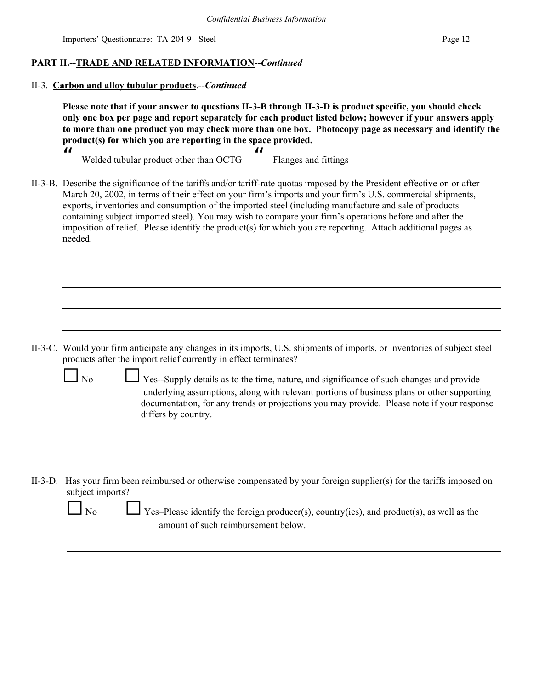## **PART II.--TRADE AND RELATED INFORMATION--***Continued*

II-3. **Carbon and alloy tubular products**.**--***Continued*

**Please note that if your answer to questions II-3-B through II-3-D is product specific, you should check only one box per page and report separately for each product listed below; however if your answers apply to more than one product you may check more than one box. Photocopy page as necessary and identify the product(s) for which you are reporting in the space provided.**

| Welded tubular product other than OCTG | Flanges and fittings |
|----------------------------------------|----------------------|

II-3-B. Describe the significance of the tariffs and/or tariff-rate quotas imposed by the President effective on or after March 20, 2002, in terms of their effect on your firm's imports and your firm's U.S. commercial shipments, exports, inventories and consumption of the imported steel (including manufacture and sale of products containing subject imported steel). You may wish to compare your firm's operations before and after the imposition of relief. Please identify the product(s) for which you are reporting. Attach additional pages as needed.

- II-3-C. Would your firm anticipate any changes in its imports, U.S. shipments of imports, or inventories of subject steel products after the import relief currently in effect terminates?
	-

 $\boldsymbol{\mu}$ 

 $\Box$  Yes--Supply details as to the time, nature, and significance of such changes and provide underlying assumptions, along with relevant portions of business plans or other supporting documentation, for any trends or projections you may provide. Please note if your response differs by country.

II-3-D. Has your firm been reimbursed or otherwise compensated by your foreign supplier(s) for the tariffs imposed on subject imports?

| ۰.<br>× |
|---------|
|---------|

Yes–Please identify the foreign producer(s), country(ies), and product(s), as well as the amount of such reimbursement below.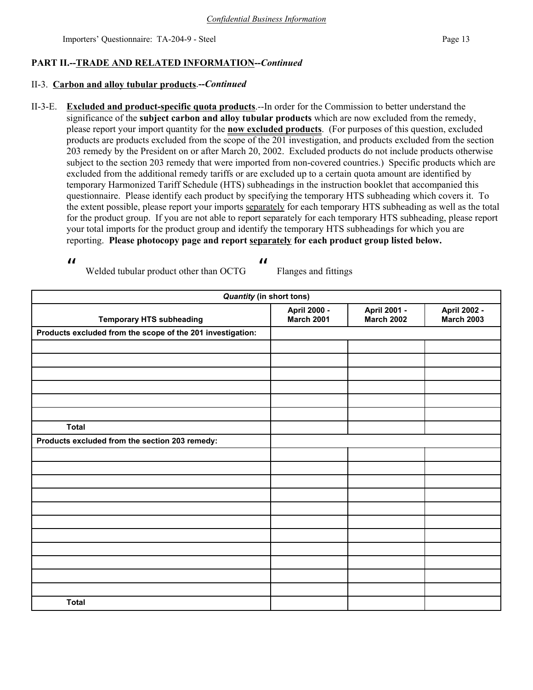## **PART II.--TRADE AND RELATED INFORMATION--***Continued*

## II-3. **Carbon and alloy tubular products**.**--***Continued*

II-3-E. **Excluded and product-specific quota products**.--In order for the Commission to better understand the significance of the **subject carbon and alloy tubular products** which are now excluded from the remedy, please report your import quantity for the **now excluded products**. (For purposes of this question, excluded products are products excluded from the scope of the 201 investigation, and products excluded from the section 203 remedy by the President on or after March 20, 2002. Excluded products do not include products otherwise subject to the section 203 remedy that were imported from non-covered countries.) Specific products which are excluded from the additional remedy tariffs or are excluded up to a certain quota amount are identified by temporary Harmonized Tariff Schedule (HTS) subheadings in the instruction booklet that accompanied this questionnaire. Please identify each product by specifying the temporary HTS subheading which covers it. To the extent possible, please report your imports separately for each temporary HTS subheading as well as the total for the product group. If you are not able to report separately for each temporary HTS subheading, please report your total imports for the product group and identify the temporary HTS subheadings for which you are reporting. **Please photocopy page and report separately for each product group listed below.**

 $\boldsymbol{\mu}$ 

 $\boldsymbol{\mu}$ 

Welded tubular product other than OCTG

Flanges and fittings

| <b>Quantity (in short tons)</b>                            |                                   |                                   |                                   |
|------------------------------------------------------------|-----------------------------------|-----------------------------------|-----------------------------------|
| <b>Temporary HTS subheading</b>                            | April 2000 -<br><b>March 2001</b> | April 2001 -<br><b>March 2002</b> | April 2002 -<br><b>March 2003</b> |
| Products excluded from the scope of the 201 investigation: |                                   |                                   |                                   |
|                                                            |                                   |                                   |                                   |
|                                                            |                                   |                                   |                                   |
|                                                            |                                   |                                   |                                   |
|                                                            |                                   |                                   |                                   |
|                                                            |                                   |                                   |                                   |
|                                                            |                                   |                                   |                                   |
| <b>Total</b>                                               |                                   |                                   |                                   |
| Products excluded from the section 203 remedy:             |                                   |                                   |                                   |
|                                                            |                                   |                                   |                                   |
|                                                            |                                   |                                   |                                   |
|                                                            |                                   |                                   |                                   |
|                                                            |                                   |                                   |                                   |
|                                                            |                                   |                                   |                                   |
|                                                            |                                   |                                   |                                   |
|                                                            |                                   |                                   |                                   |
|                                                            |                                   |                                   |                                   |
|                                                            |                                   |                                   |                                   |
|                                                            |                                   |                                   |                                   |
|                                                            |                                   |                                   |                                   |
| <b>Total</b>                                               |                                   |                                   |                                   |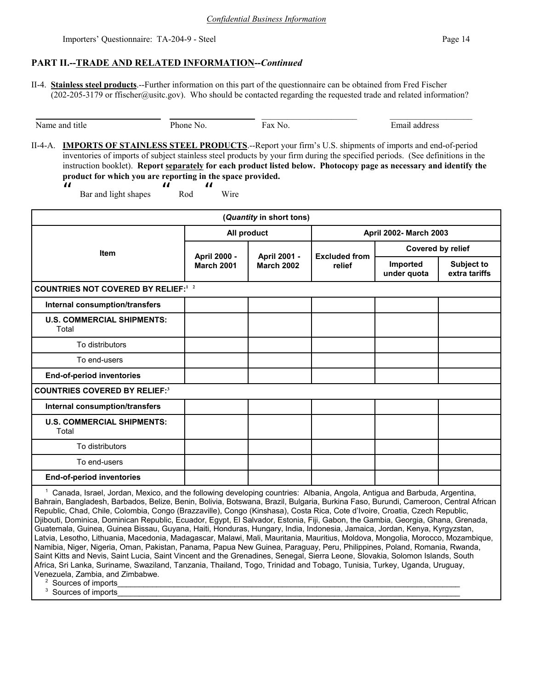## **PART II.--TRADE AND RELATED INFORMATION--***Continued*

II-4. **Stainless steel products**.--Further information on this part of the questionnaire can be obtained from Fred Fischer  $(202-205-3179)$  or ffischer@usitc.gov). Who should be contacted regarding the requested trade and related information?

\_\_\_\_\_\_\_\_\_\_\_\_\_\_\_\_\_\_\_\_\_\_ \_\_\_\_\_\_\_\_\_\_\_\_\_\_\_\_\_\_\_

Name and title **Phone No.** Fax No. Fax No. Email address

II-4-A. **IMPORTS OF STAINLESS STEEL PRODUCTS**.--Report your firm's U.S. shipments of imports and end-of-period inventories of imports of subject stainless steel products by your firm during the specified periods. (See definitions in the instruction booklet). **Report separately for each product listed below. Photocopy page as necessary and identify the product for which you are reporting in the space provided.**

 $\boldsymbol{\mathit{II}}$  Bar and light shapes  $\boldsymbol{\mu}$  Rod  $\overline{u}$ Wire

| (Quantity in short tons)                    |                                                                        |        |                         |                                    |  |
|---------------------------------------------|------------------------------------------------------------------------|--------|-------------------------|------------------------------------|--|
|                                             | All product                                                            |        | April 2002- March 2003  |                                    |  |
| <b>Item</b>                                 | April 2000 -<br>April 2001 -<br><b>March 2001</b><br><b>March 2002</b> |        | <b>Excluded from</b>    | Covered by relief                  |  |
|                                             |                                                                        | relief | Imported<br>under quota | <b>Subject to</b><br>extra tariffs |  |
| <b>COUNTRIES NOT COVERED BY RELIEF:</b> 1 2 |                                                                        |        |                         |                                    |  |
| Internal consumption/transfers              |                                                                        |        |                         |                                    |  |
| <b>U.S. COMMERCIAL SHIPMENTS:</b><br>Total  |                                                                        |        |                         |                                    |  |
| To distributors                             |                                                                        |        |                         |                                    |  |
| To end-users                                |                                                                        |        |                         |                                    |  |
| End-of-period inventories                   |                                                                        |        |                         |                                    |  |
| <b>COUNTRIES COVERED BY RELIEF:3</b>        |                                                                        |        |                         |                                    |  |
| Internal consumption/transfers              |                                                                        |        |                         |                                    |  |
| <b>U.S. COMMERCIAL SHIPMENTS:</b><br>Total  |                                                                        |        |                         |                                    |  |
| To distributors                             |                                                                        |        |                         |                                    |  |
| To end-users                                |                                                                        |        |                         |                                    |  |
| End-of-period inventories                   |                                                                        |        |                         |                                    |  |

 1 Canada, Israel, Jordan, Mexico, and the following developing countries: Albania, Angola, Antigua and Barbuda, Argentina, Bahrain, Bangladesh, Barbados, Belize, Benin, Bolivia, Botswana, Brazil, Bulgaria, Burkina Faso, Burundi, Cameroon, Central African Republic, Chad, Chile, Colombia, Congo (Brazzaville), Congo (Kinshasa), Costa Rica, Cote d'Ivoire, Croatia, Czech Republic, Djibouti, Dominica, Dominican Republic, Ecuador, Egypt, El Salvador, Estonia, Fiji, Gabon, the Gambia, Georgia, Ghana, Grenada, Guatemala, Guinea, Guinea Bissau, Guyana, Haiti, Honduras, Hungary, India, Indonesia, Jamaica, Jordan, Kenya, Kyrgyzstan, Latvia, Lesotho, Lithuania, Macedonia, Madagascar, Malawi, Mali, Mauritania, Mauritius, Moldova, Mongolia, Morocco, Mozambique, Namibia, Niger, Nigeria, Oman, Pakistan, Panama, Papua New Guinea, Paraguay, Peru, Philippines, Poland, Romania, Rwanda, Saint Kitts and Nevis, Saint Lucia, Saint Vincent and the Grenadines, Senegal, Sierra Leone, Slovakia, Solomon Islands, South Africa, Sri Lanka, Suriname, Swaziland, Tanzania, Thailand, Togo, Trinidad and Tobago, Tunisia, Turkey, Uganda, Uruguay, Venezuela, Zambia, and Zimbabwe.

2 Sources of imports\_\_\_\_\_\_\_\_\_\_\_\_\_\_\_\_\_\_\_\_\_\_\_\_\_\_\_\_\_\_\_\_\_\_\_\_\_\_\_\_\_\_\_\_\_\_\_\_\_\_\_\_\_\_\_\_\_\_\_\_\_\_\_\_\_\_\_\_\_\_\_\_\_\_\_\_\_\_\_

 3 Sources of imports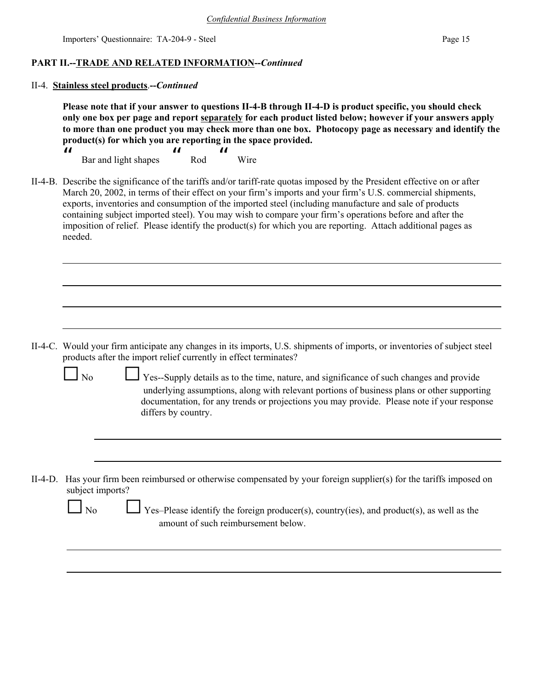## **PART II.--TRADE AND RELATED INFORMATION--***Continued*

#### II-4. **Stainless steel products**.**--***Continued*

**Please note that if your answer to questions II-4-B through II-4-D is product specific, you should check only one box per page and report separately for each product listed below; however if your answers apply to more than one product you may check more than one box. Photocopy page as necessary and identify the product(s) for which you are reporting in the space provided.**

 $\boldsymbol{\mathcal{U}}$  Bar and light shapes  $\boldsymbol{\mu}$  Rod  $\boldsymbol{\mu}$ Wire

II-4-B. Describe the significance of the tariffs and/or tariff-rate quotas imposed by the President effective on or after March 20, 2002, in terms of their effect on your firm's imports and your firm's U.S. commercial shipments, exports, inventories and consumption of the imported steel (including manufacture and sale of products containing subject imported steel). You may wish to compare your firm's operations before and after the imposition of relief. Please identify the product(s) for which you are reporting. Attach additional pages as needed.

- II-4-C. Would your firm anticipate any changes in its imports, U.S. shipments of imports, or inventories of subject steel products after the import relief currently in effect terminates?
	-

No G Yes--Supply details as to the time, nature, and significance of such changes and provide underlying assumptions, along with relevant portions of business plans or other supporting documentation, for any trends or projections you may provide. Please note if your response differs by country.

II-4-D. Has your firm been reimbursed or otherwise compensated by your foreign supplier(s) for the tariffs imposed on subject imports?

| ۰. |  |
|----|--|
|----|--|

Yes–Please identify the foreign producer(s), country(ies), and product(s), as well as the amount of such reimbursement below.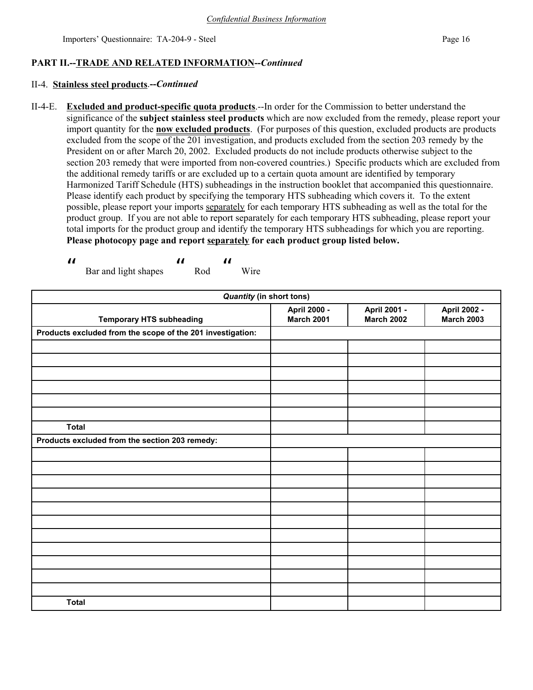## **PART II.--TRADE AND RELATED INFORMATION--***Continued*

## II-4. **Stainless steel products**.**--***Continued*

II-4-E. **Excluded and product-specific quota products**.--In order for the Commission to better understand the significance of the **subject stainless steel products** which are now excluded from the remedy, please report your import quantity for the **now excluded products**. (For purposes of this question, excluded products are products excluded from the scope of the 201 investigation, and products excluded from the section 203 remedy by the President on or after March 20, 2002. Excluded products do not include products otherwise subject to the section 203 remedy that were imported from non-covered countries.) Specific products which are excluded from the additional remedy tariffs or are excluded up to a certain quota amount are identified by temporary Harmonized Tariff Schedule (HTS) subheadings in the instruction booklet that accompanied this questionnaire. Please identify each product by specifying the temporary HTS subheading which covers it. To the extent possible, please report your imports separately for each temporary HTS subheading as well as the total for the product group. If you are not able to report separately for each temporary HTS subheading, please report your total imports for the product group and identify the temporary HTS subheadings for which you are reporting. **Please photocopy page and report separately for each product group listed below.**

 $\boldsymbol{\mathcal{U}}$  Bar and light shapes  $\boldsymbol{\mu}$  Rod  $\boldsymbol{\mu}$ Wire

| <b>Quantity (in short tons)</b>                            |                                   |                                   |                                   |
|------------------------------------------------------------|-----------------------------------|-----------------------------------|-----------------------------------|
| <b>Temporary HTS subheading</b>                            | April 2000 -<br><b>March 2001</b> | April 2001 -<br><b>March 2002</b> | April 2002 -<br><b>March 2003</b> |
| Products excluded from the scope of the 201 investigation: |                                   |                                   |                                   |
|                                                            |                                   |                                   |                                   |
|                                                            |                                   |                                   |                                   |
|                                                            |                                   |                                   |                                   |
|                                                            |                                   |                                   |                                   |
|                                                            |                                   |                                   |                                   |
|                                                            |                                   |                                   |                                   |
| <b>Total</b>                                               |                                   |                                   |                                   |
| Products excluded from the section 203 remedy:             |                                   |                                   |                                   |
|                                                            |                                   |                                   |                                   |
|                                                            |                                   |                                   |                                   |
|                                                            |                                   |                                   |                                   |
|                                                            |                                   |                                   |                                   |
|                                                            |                                   |                                   |                                   |
|                                                            |                                   |                                   |                                   |
|                                                            |                                   |                                   |                                   |
|                                                            |                                   |                                   |                                   |
|                                                            |                                   |                                   |                                   |
|                                                            |                                   |                                   |                                   |
|                                                            |                                   |                                   |                                   |
| <b>Total</b>                                               |                                   |                                   |                                   |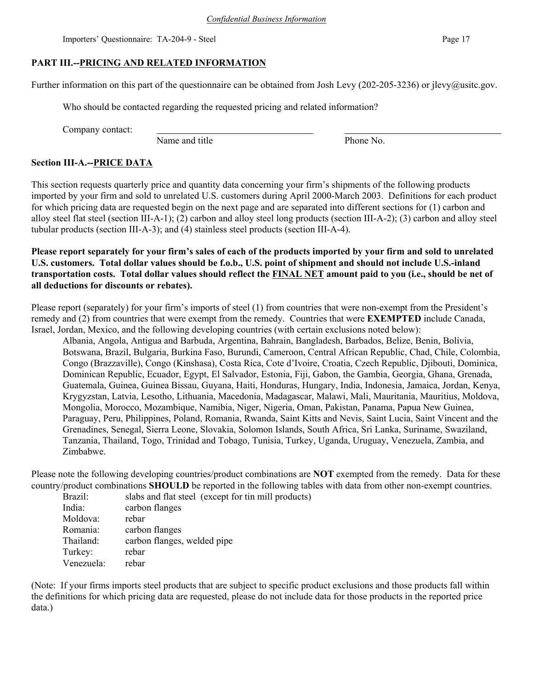## **PART III.--PRICING AND RELATED INFORMATION**

Further information on this part of the questionnaire can be obtained from Josh Levy (202-205-3236) or jlevy@usitc.gov.

Who should be contacted regarding the requested pricing and related information?

Company contact:

Name and title Phone No.

## **Section III-A.--PRICE DATA**

This section requests quarterly price and quantity data concerning your firm's shipments of the following products imported by your firm and sold to unrelated U.S. customers during April 2000-March 2003. Definitions for each product for which pricing data are requested begin on the next page and are separated into different sections for (1) carbon and alloy steel flat steel (section III-A-1); (2) carbon and alloy steel long products (section III-A-2); (3) carbon and alloy steel tubular products (section III-A-3); and (4) stainless steel products (section III-A-4).

**Please report separately for your firm's sales of each of the products imported by your firm and sold to unrelated U.S. customers. Total dollar values should be f.o.b., U.S. point of shipment and should not include U.S.-inland transportation costs. Total dollar values should reflect the FINAL NET amount paid to you (i.e., should be net of all deductions for discounts or rebates).** 

Please report (separately) for your firm's imports of steel (1) from countries that were non-exempt from the President's remedy and (2) from countries that were exempt from the remedy. Countries that were **EXEMPTED** include Canada, Israel, Jordan, Mexico, and the following developing countries (with certain exclusions noted below):

Albania, Angola, Antigua and Barbuda, Argentina, Bahrain, Bangladesh, Barbados, Belize, Benin, Bolivia, Botswana, Brazil, Bulgaria, Burkina Faso, Burundi, Cameroon, Central African Republic, Chad, Chile, Colombia, Congo (Brazzaville), Congo (Kinshasa), Costa Rica, Cote d'Ivoire, Croatia, Czech Republic, Djibouti, Dominica, Dominican Republic, Ecuador, Egypt, El Salvador, Estonia, Fiji, Gabon, the Gambia, Georgia, Ghana, Grenada, Guatemala, Guinea, Guinea Bissau, Guyana, Haiti, Honduras, Hungary, India, Indonesia, Jamaica, Jordan, Kenya, Krygyzstan, Latvia, Lesotho, Lithuania, Macedonia, Madagascar, Malawi, Mali, Mauritania, Mauritius, Moldova, Mongolia, Morocco, Mozambique, Namibia, Niger, Nigeria, Oman, Pakistan, Panama, Papua New Guinea, Paraguay, Peru, Philippines, Poland, Romania, Rwanda, Saint Kitts and Nevis, Saint Lucia, Saint Vincent and the Grenadines, Senegal, Sierra Leone, Slovakia, Solomon Islands, South Africa, Sri Lanka, Suriname, Swaziland, Tanzania, Thailand, Togo, Trinidad and Tobago, Tunisia, Turkey, Uganda, Uruguay, Venezuela, Zambia, and Zimbabwe.

Please note the following developing countries/product combinations are **NOT** exempted from the remedy. Data for these country/product combinations **SHOULD** be reported in the following tables with data from other non-exempt countries.

Brazil: slabs and flat steel (except for tin mill products)

| India:     | carbon flanges              |
|------------|-----------------------------|
| Moldova:   | rebar                       |
| Romania:   | carbon flanges              |
| Thailand:  | carbon flanges, welded pipe |
| Turkey:    | rebar                       |
| Venezuela: | rebar                       |

(Note: If your firms imports steel products that are subject to specific product exclusions and those products fall within the definitions for which pricing data are requested, please do not include data for those products in the reported price data.)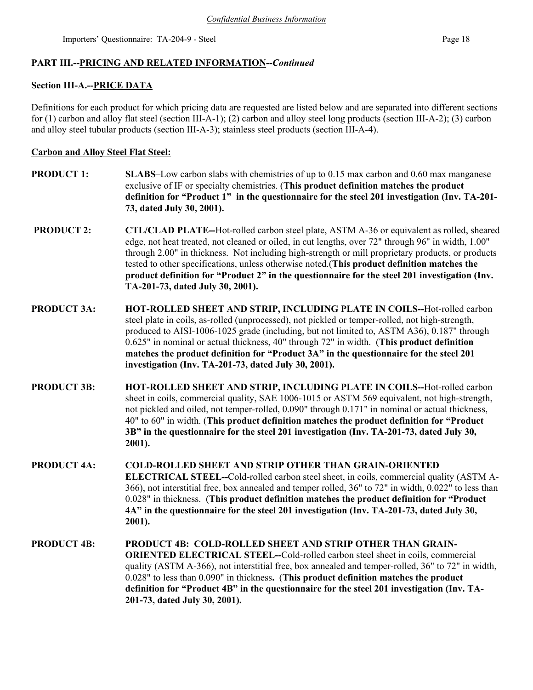## **PART III.--PRICING AND RELATED INFORMATION--***Continued*

## **Section III-A.--PRICE DATA**

Definitions for each product for which pricing data are requested are listed below and are separated into different sections for (1) carbon and alloy flat steel (section III-A-1); (2) carbon and alloy steel long products (section III-A-2); (3) carbon and alloy steel tubular products (section III-A-3); stainless steel products (section III-A-4).

## **Carbon and Alloy Steel Flat Steel:**

- **PRODUCT 1:** SLABS–Low carbon slabs with chemistries of up to 0.15 max carbon and 0.60 max manganese exclusive of IF or specialty chemistries. (**This product definition matches the product definition for "Product 1" in the questionnaire for the steel 201 investigation (Inv. TA-201- 73, dated July 30, 2001). PRODUCT 2: CTL/CLAD PLATE--Hot-rolled carbon steel plate, ASTM A-36 or equivalent as rolled, sheared**
- edge, not heat treated, not cleaned or oiled, in cut lengths, over 72" through 96" in width, 1.00" through 2.00" in thickness. Not including high-strength or mill proprietary products, or products tested to other specifications, unless otherwise noted.(**This product definition matches the product definition for "Product 2" in the questionnaire for the steel 201 investigation (Inv. TA-201-73, dated July 30, 2001).**
- **PRODUCT 3A: HOT-ROLLED SHEET AND STRIP, INCLUDING PLATE IN COILS--**Hot-rolled carbon steel plate in coils, as-rolled (unprocessed), not pickled or temper-rolled, not high-strength, produced to AISI-1006-1025 grade (including, but not limited to, ASTM A36), 0.187" through 0.625" in nominal or actual thickness, 40" through 72" in width. (**This product definition matches the product definition for "Product 3A" in the questionnaire for the steel 201 investigation (Inv. TA-201-73, dated July 30, 2001).**
- **PRODUCT 3B: HOT-ROLLED SHEET AND STRIP, INCLUDING PLATE IN COILS--**Hot-rolled carbon sheet in coils, commercial quality, SAE 1006-1015 or ASTM 569 equivalent, not high-strength, not pickled and oiled, not temper-rolled, 0.090" through 0.171" in nominal or actual thickness, 40" to 60" in width. (**This product definition matches the product definition for "Product 3B" in the questionnaire for the steel 201 investigation (Inv. TA-201-73, dated July 30, 2001).**
- **PRODUCT 4A: COLD-ROLLED SHEET AND STRIP OTHER THAN GRAIN-ORIENTED ELECTRICAL STEEL--**Cold-rolled carbon steel sheet, in coils, commercial quality (ASTM A-366), not interstitial free, box annealed and temper rolled, 36" to 72" in width, 0.022" to less than 0.028" in thickness. (**This product definition matches the product definition for "Product 4A" in the questionnaire for the steel 201 investigation (Inv. TA-201-73, dated July 30, 2001).**
- **PRODUCT 4B: PRODUCT 4B: COLD-ROLLED SHEET AND STRIP OTHER THAN GRAIN-ORIENTED ELECTRICAL STEEL--**Cold-rolled carbon steel sheet in coils, commercial quality (ASTM A-366), not interstitial free, box annealed and temper-rolled, 36" to 72" in width, 0.028" to less than 0.090" in thickness**.** (**This product definition matches the product definition for "Product 4B" in the questionnaire for the steel 201 investigation (Inv. TA-201-73, dated July 30, 2001).**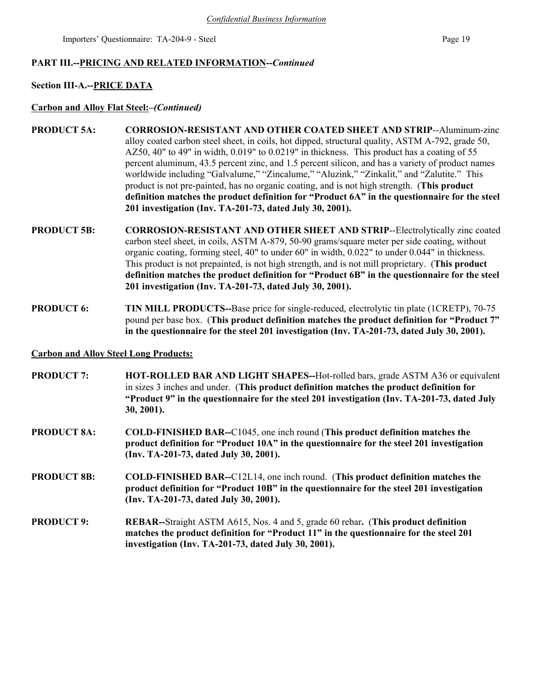#### **PART III.--PRICING AND RELATED INFORMATION--***Continued*

#### **Section III-A.--PRICE DATA**

#### **Carbon and Alloy Flat Steel:***–(Continued)*

- **PRODUCT 5A: CORROSION-RESISTANT AND OTHER COATED SHEET AND STRIP**--Aluminum-zinc alloy coated carbon steel sheet, in coils, hot dipped, structural quality, ASTM A-792, grade 50, AZ50, 40" to 49" in width, 0.019" to 0.0219" in thickness. This product has a coating of 55 percent aluminum, 43.5 percent zinc, and 1.5 percent silicon, and has a variety of product names worldwide including "Galvalume," "Zincalume," "Aluzink," "Zinkalit," and "Zalutite." This product is not pre-painted, has no organic coating, and is not high strength. (**This product definition matches the product definition for "Product 6A" in the questionnaire for the steel 201 investigation (Inv. TA-201-73, dated July 30, 2001).**
- **PRODUCT 5B: CORROSION-RESISTANT AND OTHER SHEET AND STRIP**--Electrolytically zinc coated carbon steel sheet, in coils, ASTM A-879, 50-90 grams/square meter per side coating, without organic coating, forming steel, 40" to under 60" in width, 0.022" to under 0.044" in thickness. This product is not prepainted, is not high strength, and is not mill proprietary. (**This product definition matches the product definition for "Product 6B" in the questionnaire for the steel 201 investigation (Inv. TA-201-73, dated July 30, 2001).**
- **PRODUCT 6: TIN MILL PRODUCTS--Base price for single-reduced, electrolytic tin plate (1CRETP), 70-75** pound per base box. (**This product definition matches the product definition for "Product 7" in the questionnaire for the steel 201 investigation (Inv. TA-201-73, dated July 30, 2001).**

#### **Carbon and Alloy Steel Long Products:**

| <b>PRODUCT 7:</b>  | <b>HOT-ROLLED BAR AND LIGHT SHAPES--Hot-rolled bars, grade ASTM A36 or equivalent</b><br>in sizes 3 inches and under. (This product definition matches the product definition for<br>"Product 9" in the questionnaire for the steel 201 investigation (Inv. TA-201-73, dated July<br>$30, 2001$ ). |
|--------------------|----------------------------------------------------------------------------------------------------------------------------------------------------------------------------------------------------------------------------------------------------------------------------------------------------|
| <b>PRODUCT 8A:</b> | <b>COLD-FINISHED BAR--C1045, one inch round (This product definition matches the</b><br>product definition for "Product 10A" in the questionnaire for the steel 201 investigation<br>(Inv. TA-201-73, dated July 30, 2001).                                                                        |
| <b>PRODUCT 8B:</b> | <b>COLD-FINISHED BAR--C12L14, one inch round. (This product definition matches the</b><br>product definition for "Product 10B" in the questionnaire for the steel 201 investigation<br>(Inv. TA-201-73, dated July 30, 2001).                                                                      |
| <b>PRODUCT 9:</b>  | <b>REBAR--Straight ASTM A615, Nos. 4 and 5, grade 60 rebar. (This product definition</b><br>matches the product definition for "Product 11" in the questionnaire for the steel 201<br>investigation (Inv. TA-201-73, dated July 30, 2001).                                                         |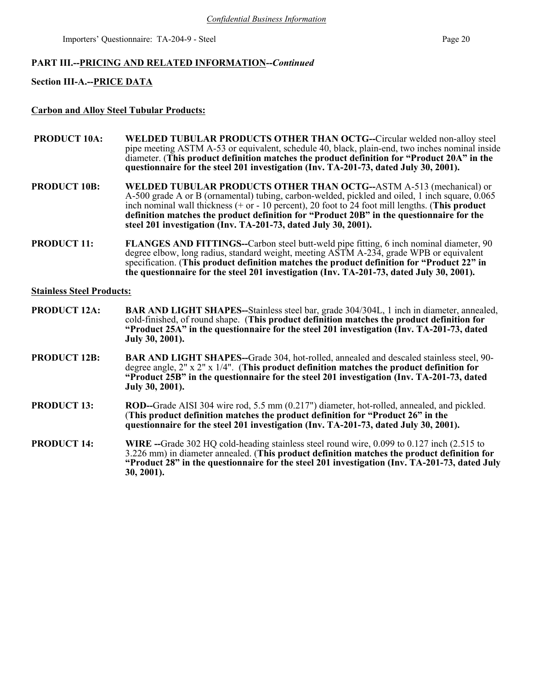#### **PART III.--PRICING AND RELATED INFORMATION--***Continued*

#### **Section III-A.--PRICE DATA**

#### **Carbon and Alloy Steel Tubular Products:**

- **PRODUCT 10A:** WELDED TUBULAR PRODUCTS OTHER THAN OCTG--Circular welded non-alloy steel pipe meeting ASTM A-53 or equivalent, schedule 40, black, plain-end, two inches nominal inside diameter. (**This product definition matches the product definition for "Product 20A" in the questionnaire for the steel 201 investigation (Inv. TA-201-73, dated July 30, 2001).**
- **PRODUCT 10B: WELDED TUBULAR PRODUCTS OTHER THAN OCTG--**ASTM A-513 (mechanical) or A-500 grade A or B (ornamental) tubing, carbon-welded, pickled and oiled, 1 inch square, 0.065 inch nominal wall thickness (+ or - 10 percent), 20 foot to 24 foot mill lengths. (**This product definition matches the product definition for "Product 20B" in the questionnaire for the steel 201 investigation (Inv. TA-201-73, dated July 30, 2001).**
- **PRODUCT 11: FLANGES AND FITTINGS--**Carbon steel butt-weld pipe fitting, 6 inch nominal diameter, 90 degree elbow, long radius, standard weight, meeting ASTM A-234, grade WPB or equivalent specification. (**This product definition matches the product definition for "Product 22" in the questionnaire for the steel 201 investigation (Inv. TA-201-73, dated July 30, 2001).**

#### **Stainless Steel Products:**

- **PRODUCT 12A:** BAR AND LIGHT SHAPES--Stainless steel bar, grade 304/304L, 1 inch in diameter, annealed, cold-finished, of round shape.(**This product definition matches the product definition for "Product 25A" in the questionnaire for the steel 201 investigation (Inv. TA-201-73, dated July 30, 2001).**
- **PRODUCT 12B: BAR AND LIGHT SHAPES--**Grade 304, hot-rolled, annealed and descaled stainless steel, 90 degree angle, 2" x 2" x 1/4".(**This product definition matches the product definition for "Product 25B" in the questionnaire for the steel 201 investigation (Inv. TA-201-73, dated July 30, 2001).**
- **PRODUCT 13: ROD--**Grade AISI 304 wire rod, 5.5 mm (0.217") diameter, hot-rolled, annealed, and pickled. (**This product definition matches the product definition for "Product 26" in the questionnaire for the steel 201 investigation (Inv. TA-201-73, dated July 30, 2001).**
- **PRODUCT 14:** WIRE --Grade 302 HO cold-heading stainless steel round wire, 0.099 to 0.127 inch (2.515 to 3.226 mm) in diameter annealed. (**This product definition matches the product definition for "Product 28" in the questionnaire for the steel 201 investigation (Inv. TA-201-73, dated July 30, 2001).**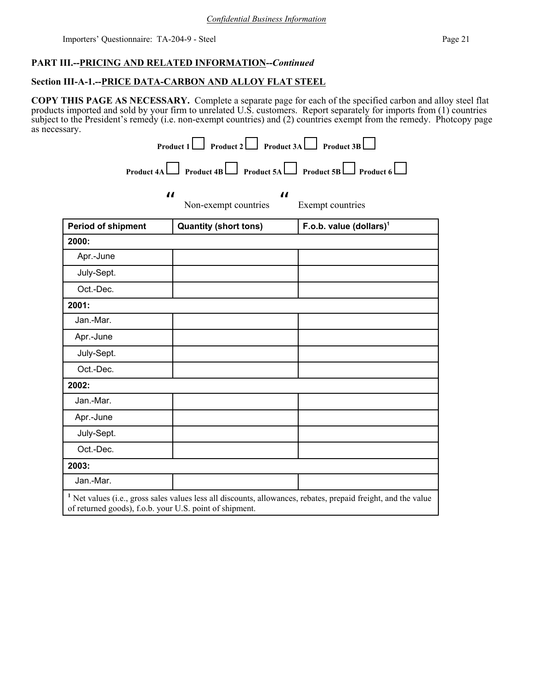## **PART III.--PRICING AND RELATED INFORMATION--***Continued*

## **Section III-A-1.--PRICE DATA-CARBON AND ALLOY FLAT STEEL**

**COPY THIS PAGE AS NECESSARY.** Complete a separate page for each of the specified carbon and alloy steel flat products imported and sold by your firm to unrelated U.S. customers. Report separately for imports from (1) countries subject to the President's remedy (i.e. non-exempt countries) and (2) countries exempt from the remedy. Photcopy page as necessary.

|                           | $\boldsymbol{\mu}$           | $\boldsymbol{\mathit{II}}$          |
|---------------------------|------------------------------|-------------------------------------|
|                           | Non-exempt countries         | Exempt countries                    |
| <b>Period of shipment</b> | <b>Quantity (short tons)</b> | F.o.b. value (dollars) <sup>1</sup> |
| 2000:                     |                              |                                     |
| Apr.-June                 |                              |                                     |
| July-Sept.                |                              |                                     |
| Oct.-Dec.                 |                              |                                     |
| 2001:                     |                              |                                     |
| Jan.-Mar.                 |                              |                                     |
| Apr.-June                 |                              |                                     |
| July-Sept.                |                              |                                     |
| Oct.-Dec.                 |                              |                                     |
| 2002:                     |                              |                                     |
| Jan.-Mar.                 |                              |                                     |
| Apr.-June                 |                              |                                     |
| July-Sept.                |                              |                                     |
| Oct.-Dec.                 |                              |                                     |
| 2003:                     |                              |                                     |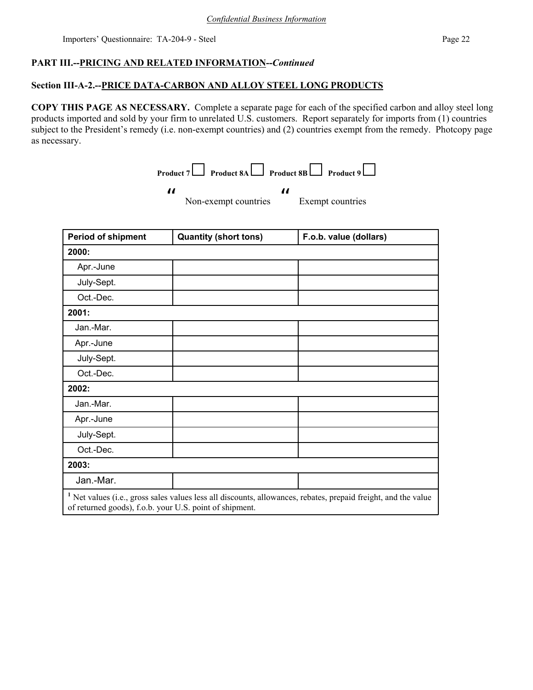## **PART III.--PRICING AND RELATED INFORMATION--***Continued*

 $\boldsymbol{\mathit{ii}}$ 

## **Section III-A-2.--PRICE DATA-CARBON AND ALLOY STEEL LONG PRODUCTS**

**COPY THIS PAGE AS NECESSARY.** Complete a separate page for each of the specified carbon and alloy steel long products imported and sold by your firm to unrelated U.S. customers. Report separately for imports from (1) countries subject to the President's remedy (i.e. non-exempt countries) and (2) countries exempt from the remedy. Photcopy page as necessary.

**Product 7** Product 8A Product 8B Product 9

 $\boldsymbol{\mathit{ii}}$ 

Non-exempt countries

Exempt countries

| <b>Period of shipment</b>                                                                                                                                                            | <b>Quantity (short tons)</b> | F.o.b. value (dollars) |
|--------------------------------------------------------------------------------------------------------------------------------------------------------------------------------------|------------------------------|------------------------|
| 2000:                                                                                                                                                                                |                              |                        |
| Apr.-June                                                                                                                                                                            |                              |                        |
| July-Sept.                                                                                                                                                                           |                              |                        |
| Oct.-Dec.                                                                                                                                                                            |                              |                        |
| 2001:                                                                                                                                                                                |                              |                        |
| Jan.-Mar.                                                                                                                                                                            |                              |                        |
| Apr.-June                                                                                                                                                                            |                              |                        |
| July-Sept.                                                                                                                                                                           |                              |                        |
| Oct.-Dec.                                                                                                                                                                            |                              |                        |
| 2002:                                                                                                                                                                                |                              |                        |
| Jan.-Mar.                                                                                                                                                                            |                              |                        |
| Apr.-June                                                                                                                                                                            |                              |                        |
| July-Sept.                                                                                                                                                                           |                              |                        |
| Oct.-Dec.                                                                                                                                                                            |                              |                        |
| 2003:                                                                                                                                                                                |                              |                        |
| Jan.-Mar.                                                                                                                                                                            |                              |                        |
| <sup>1</sup> Net values (i.e., gross sales values less all discounts, allowances, rebates, prepaid freight, and the value<br>of returned goods), f.o.b. your U.S. point of shipment. |                              |                        |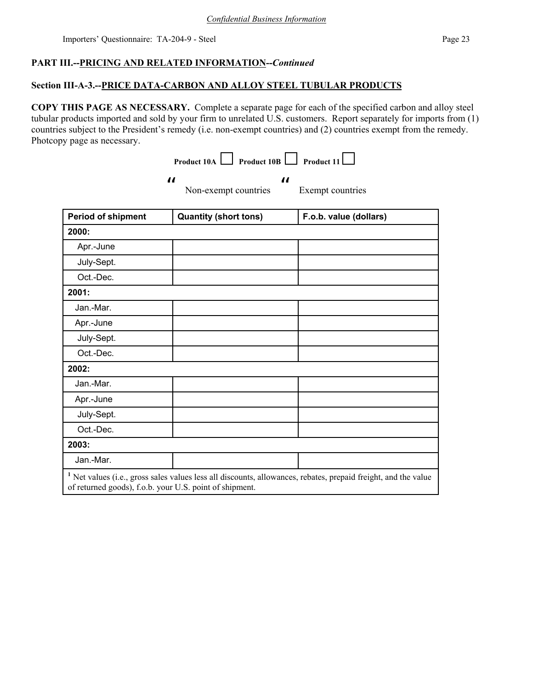## **PART III.--PRICING AND RELATED INFORMATION--***Continued*

## **Section III-A-3.--PRICE DATA-CARBON AND ALLOY STEEL TUBULAR PRODUCTS**

**COPY THIS PAGE AS NECESSARY.** Complete a separate page for each of the specified carbon and alloy steel tubular products imported and sold by your firm to unrelated U.S. customers. Report separately for imports from (1) countries subject to the President's remedy (i.e. non-exempt countries) and (2) countries exempt from the remedy. Photcopy page as necessary.

|                                                         | $\Box$ Product 10B $\Box$<br>Product 10A           | Product 11                                                                                                                |
|---------------------------------------------------------|----------------------------------------------------|---------------------------------------------------------------------------------------------------------------------------|
| $\boldsymbol{\mathcal{U}}$                              | $\boldsymbol{\mathcal{U}}$<br>Non-exempt countries | Exempt countries                                                                                                          |
| <b>Period of shipment</b>                               | <b>Quantity (short tons)</b>                       | F.o.b. value (dollars)                                                                                                    |
| 2000:                                                   |                                                    |                                                                                                                           |
| Apr.-June                                               |                                                    |                                                                                                                           |
| July-Sept.                                              |                                                    |                                                                                                                           |
| Oct.-Dec.                                               |                                                    |                                                                                                                           |
| 2001:                                                   |                                                    |                                                                                                                           |
| Jan.-Mar.                                               |                                                    |                                                                                                                           |
| Apr.-June                                               |                                                    |                                                                                                                           |
| July-Sept.                                              |                                                    |                                                                                                                           |
| Oct.-Dec.                                               |                                                    |                                                                                                                           |
| 2002:                                                   |                                                    |                                                                                                                           |
| Jan.-Mar.                                               |                                                    |                                                                                                                           |
| Apr.-June                                               |                                                    |                                                                                                                           |
| July-Sept.                                              |                                                    |                                                                                                                           |
| Oct.-Dec.                                               |                                                    |                                                                                                                           |
| 2003:                                                   |                                                    |                                                                                                                           |
| Jan.-Mar.                                               |                                                    |                                                                                                                           |
| of returned goods), f.o.b. your U.S. point of shipment. |                                                    | <sup>1</sup> Net values (i.e., gross sales values less all discounts, allowances, rebates, prepaid freight, and the value |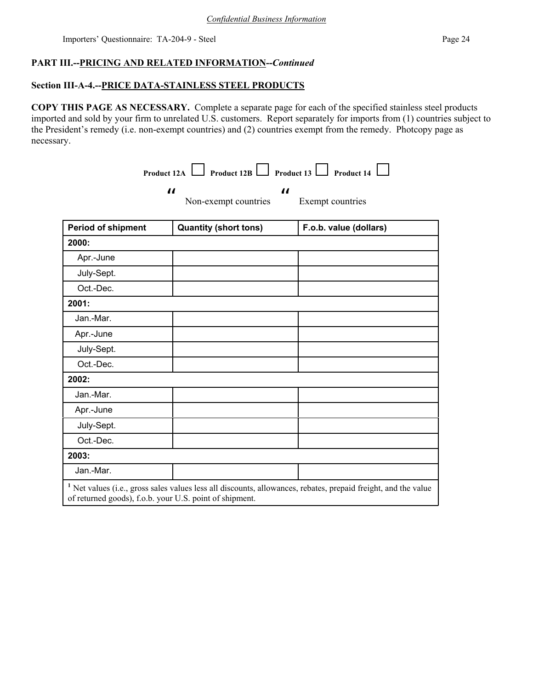## **PART III.--PRICING AND RELATED INFORMATION--***Continued*

#### **Section III-A-4.--PRICE DATA-STAINLESS STEEL PRODUCTS**

 $\boldsymbol{\mathit{ii}}$ 

**COPY THIS PAGE AS NECESSARY.** Complete a separate page for each of the specified stainless steel products imported and sold by your firm to unrelated U.S. customers. Report separately for imports from (1) countries subject to the President's remedy (i.e. non-exempt countries) and (2) countries exempt from the remedy. Photcopy page as necessary.

**Product 12A** Product 12B Product 13 Product 14  $\Box$ 

 $\boldsymbol{\mathcal{H}}$ 

Non-exempt countries

Exempt countries

| <b>Period of shipment</b> | <b>Quantity (short tons)</b>                            | F.o.b. value (dollars)                                                                                                    |
|---------------------------|---------------------------------------------------------|---------------------------------------------------------------------------------------------------------------------------|
| 2000:                     |                                                         |                                                                                                                           |
| Apr.-June                 |                                                         |                                                                                                                           |
| July-Sept.                |                                                         |                                                                                                                           |
| Oct.-Dec.                 |                                                         |                                                                                                                           |
| 2001:                     |                                                         |                                                                                                                           |
| Jan.-Mar.                 |                                                         |                                                                                                                           |
| Apr.-June                 |                                                         |                                                                                                                           |
| July-Sept.                |                                                         |                                                                                                                           |
| Oct.-Dec.                 |                                                         |                                                                                                                           |
| 2002:                     |                                                         |                                                                                                                           |
| Jan.-Mar.                 |                                                         |                                                                                                                           |
| Apr.-June                 |                                                         |                                                                                                                           |
| July-Sept.                |                                                         |                                                                                                                           |
| Oct.-Dec.                 |                                                         |                                                                                                                           |
| 2003:                     |                                                         |                                                                                                                           |
| Jan.-Mar.                 |                                                         |                                                                                                                           |
|                           | of returned goods), f.o.b. your U.S. point of shipment. | <sup>1</sup> Net values (i.e., gross sales values less all discounts, allowances, rebates, prepaid freight, and the value |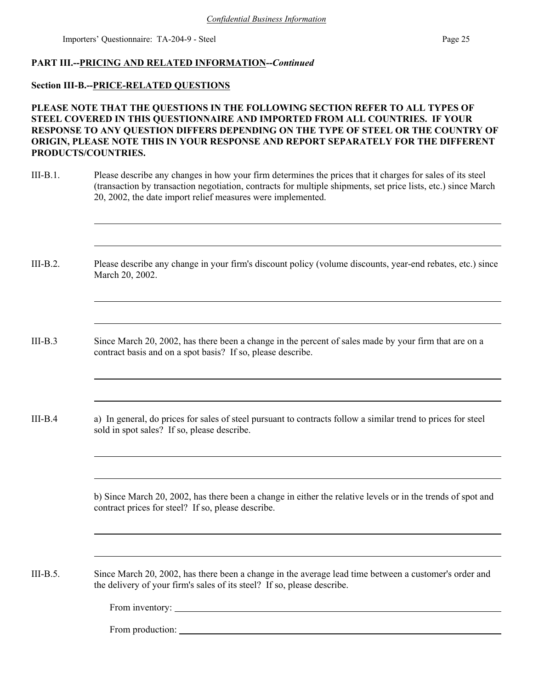## **PART III.--PRICING AND RELATED INFORMATION--***Continued*

#### **Section III-B.--PRICE-RELATED QUESTIONS**

## **PLEASE NOTE THAT THE QUESTIONS IN THE FOLLOWING SECTION REFER TO ALL TYPES OF STEEL COVERED IN THIS QUESTIONNAIRE AND IMPORTED FROM ALL COUNTRIES. IF YOUR RESPONSE TO ANY QUESTION DIFFERS DEPENDING ON THE TYPE OF STEEL OR THE COUNTRY OF ORIGIN, PLEASE NOTE THIS IN YOUR RESPONSE AND REPORT SEPARATELY FOR THE DIFFERENT PRODUCTS/COUNTRIES.**

III-B.1. Please describe any changes in how your firm determines the prices that it charges for sales of its steel (transaction by transaction negotiation, contracts for multiple shipments, set price lists, etc.) since March 20, 2002, the date import relief measures were implemented.

III-B.2. Please describe any change in your firm's discount policy (volume discounts, year-end rebates, etc.) since March 20, 2002.

- III-B.3 Since March 20, 2002, has there been a change in the percent of sales made by your firm that are on a contract basis and on a spot basis? If so, please describe.
- III-B.4 a) In general, do prices for sales of steel pursuant to contracts follow a similar trend to prices for steel sold in spot sales? If so, please describe.

b) Since March 20, 2002, has there been a change in either the relative levels or in the trends of spot and contract prices for steel? If so, please describe.

III-B.5. Since March 20, 2002, has there been a change in the average lead time between a customer's order and the delivery of your firm's sales of its steel? If so, please describe.

From inventory:

From production: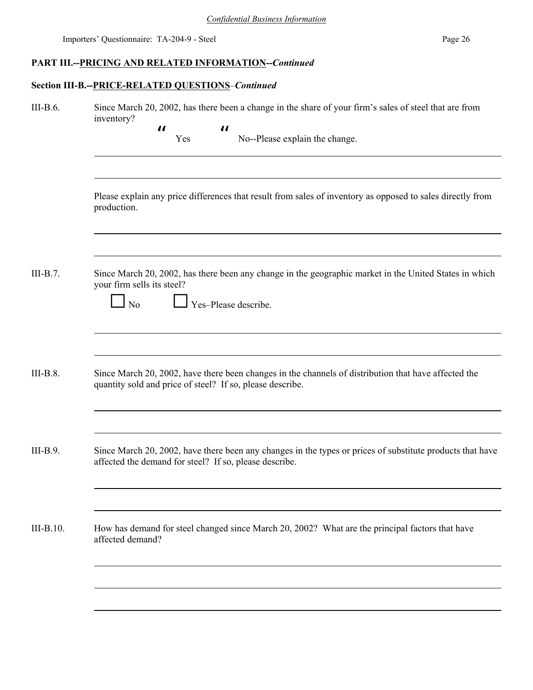## **PART III.--PRICING AND RELATED INFORMATION--***Continued*

## **Section III-B.--PRICE-RELATED QUESTIONS**–*Continued*

| III-B.6.    | Since March 20, 2002, has there been a change in the share of your firm's sales of steel that are from<br>inventory?                                               |  |  |  |  |  |  |  |
|-------------|--------------------------------------------------------------------------------------------------------------------------------------------------------------------|--|--|--|--|--|--|--|
|             | $\boldsymbol{\mathit{II}}$<br>$\boldsymbol{\mathit{II}}$<br>No--Please explain the change.<br>Yes                                                                  |  |  |  |  |  |  |  |
|             | Please explain any price differences that result from sales of inventory as opposed to sales directly from<br>production.                                          |  |  |  |  |  |  |  |
| $III-B.7.$  | Since March 20, 2002, has there been any change in the geographic market in the United States in which<br>your firm sells its steel?<br>Yes-Please describe.<br>No |  |  |  |  |  |  |  |
| $III-B.8.$  | Since March 20, 2002, have there been changes in the channels of distribution that have affected the<br>quantity sold and price of steel? If so, please describe.  |  |  |  |  |  |  |  |
| III-B.9.    | Since March 20, 2002, have there been any changes in the types or prices of substitute products that have                                                          |  |  |  |  |  |  |  |
|             | affected the demand for steel? If so, please describe.                                                                                                             |  |  |  |  |  |  |  |
| $III-B.10.$ | How has demand for steel changed since March 20, 2002? What are the principal factors that have<br>affected demand?                                                |  |  |  |  |  |  |  |
|             |                                                                                                                                                                    |  |  |  |  |  |  |  |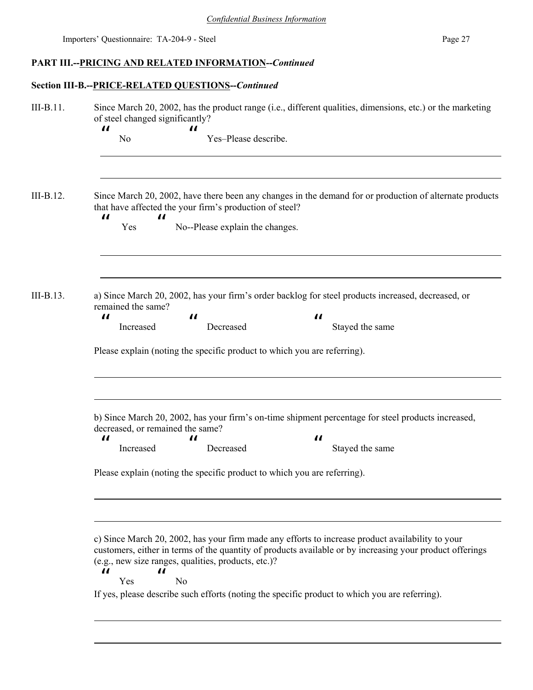# **PART III.--PRICING AND RELATED INFORMATION--***Continued*

## **Section III-B.--PRICE-RELATED QUESTIONS--***Continued*

| III-B.11. | Since March 20, 2002, has the product range (i.e., different qualities, dimensions, etc.) or the marketing<br>of steel changed significantly?                                                                                                                                                                                                                                                                                                             |  |  |  |  |  |  |  |  |
|-----------|-----------------------------------------------------------------------------------------------------------------------------------------------------------------------------------------------------------------------------------------------------------------------------------------------------------------------------------------------------------------------------------------------------------------------------------------------------------|--|--|--|--|--|--|--|--|
|           | $\boldsymbol{\mathit{II}}$<br>П<br>Yes-Please describe.<br>N <sub>0</sub>                                                                                                                                                                                                                                                                                                                                                                                 |  |  |  |  |  |  |  |  |
| III-B.12. | Since March 20, 2002, have there been any changes in the demand for or production of alternate products<br>that have affected the your firm's production of steel?<br>$\boldsymbol{\mathit{II}}$<br>$\boldsymbol{\mathcal{H}}$<br>No--Please explain the changes.<br>Yes                                                                                                                                                                                  |  |  |  |  |  |  |  |  |
| III-B.13. | a) Since March 20, 2002, has your firm's order backlog for steel products increased, decreased, or<br>remained the same?<br>$\boldsymbol{\mathit{II}}$<br>П<br>$\boldsymbol{\mathit{II}}$<br>Increased<br>Decreased<br>Stayed the same<br>Please explain (noting the specific product to which you are referring).                                                                                                                                        |  |  |  |  |  |  |  |  |
|           | b) Since March 20, 2002, has your firm's on-time shipment percentage for steel products increased,<br>decreased, or remained the same?<br>$\boldsymbol{\mathit{II}}$<br>$\boldsymbol{\mathit{II}}$<br>$\boldsymbol{\mathit{II}}$<br>Increased<br>Stayed the same<br>Decreased<br>Please explain (noting the specific product to which you are referring).                                                                                                 |  |  |  |  |  |  |  |  |
|           | c) Since March 20, 2002, has your firm made any efforts to increase product availability to your<br>customers, either in terms of the quantity of products available or by increasing your product offerings<br>(e.g., new size ranges, qualities, products, etc.)?<br>$\boldsymbol{\mathsf{u}}$<br>$\boldsymbol{\mathit{II}}$<br>N <sub>0</sub><br>Yes<br>If yes, please describe such efforts (noting the specific product to which you are referring). |  |  |  |  |  |  |  |  |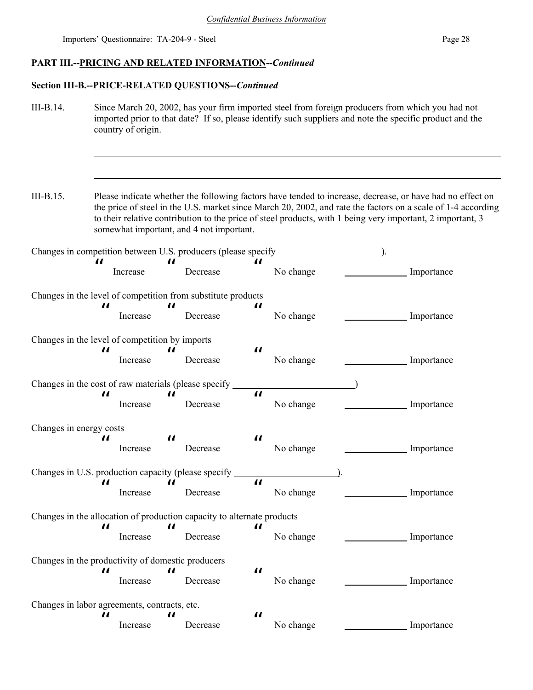## **PART III.--PRICING AND RELATED INFORMATION--***Continued*

## **Section III-B.--PRICE-RELATED QUESTIONS--***Continued*

III-B.14. Since March 20, 2002, has your firm imported steel from foreign producers from which you had not imported prior to that date? If so, please identify such suppliers and note the specific product and the country of origin.

III-B.15. Please indicate whether the following factors have tended to increase, decrease, or have had no effect on the price of steel in the U.S. market since March 20, 2002, and rate the factors on a scale of 1-4 according to their relative contribution to the price of steel products, with 1 being very important, 2 important, 3 somewhat important, and 4 not important.

| 11                                                                     | Increase | 11                         | Decrease |                            | No change |  | Importance |
|------------------------------------------------------------------------|----------|----------------------------|----------|----------------------------|-----------|--|------------|
| Changes in the level of competition from substitute products           |          |                            |          |                            |           |  |            |
| 11                                                                     | Increase | $\boldsymbol{\mathit{II}}$ | Decrease | $\boldsymbol{\mathit{II}}$ | No change |  | Importance |
| Changes in the level of competition by imports                         |          |                            |          |                            |           |  |            |
| $\boldsymbol{\mathit{u}}$                                              | Increase | $\boldsymbol{\mathit{II}}$ | Decrease | $\boldsymbol{\mathcal{U}}$ | No change |  | Importance |
| Changes in the cost of raw materials (please specify _                 |          |                            |          |                            |           |  |            |
| $\boldsymbol{\mathit{II}}$                                             | Increase | $\boldsymbol{\mathit{II}}$ | Decrease | $\boldsymbol{\mathcal{H}}$ | No change |  | Importance |
| Changes in energy costs                                                |          |                            |          |                            |           |  |            |
| П                                                                      | Increase | $\boldsymbol{\mathit{II}}$ | Decrease | $\boldsymbol{\mathit{II}}$ | No change |  | Importance |
| Changes in U.S. production capacity (please specify                    |          |                            |          |                            |           |  |            |
| 11                                                                     | Increase | $\boldsymbol{\mathit{II}}$ | Decrease | $\boldsymbol{\mu}$         | No change |  | Importance |
| Changes in the allocation of production capacity to alternate products |          |                            |          |                            |           |  |            |
| $\boldsymbol{\mathit{II}}$                                             | Increase | $\boldsymbol{\mathit{II}}$ | Decrease | $\boldsymbol{\mathit{II}}$ | No change |  | Importance |
| Changes in the productivity of domestic producers                      |          |                            |          |                            |           |  |            |
| "                                                                      | Increase | $\boldsymbol{\mathit{II}}$ | Decrease | $\boldsymbol{\mathit{II}}$ | No change |  | Importance |
| Changes in labor agreements, contracts, etc.                           |          |                            |          |                            |           |  |            |
| П                                                                      | Increase | $\boldsymbol{\mathit{u}}$  | Decrease | $\boldsymbol{\mathit{II}}$ | No change |  | Importance |